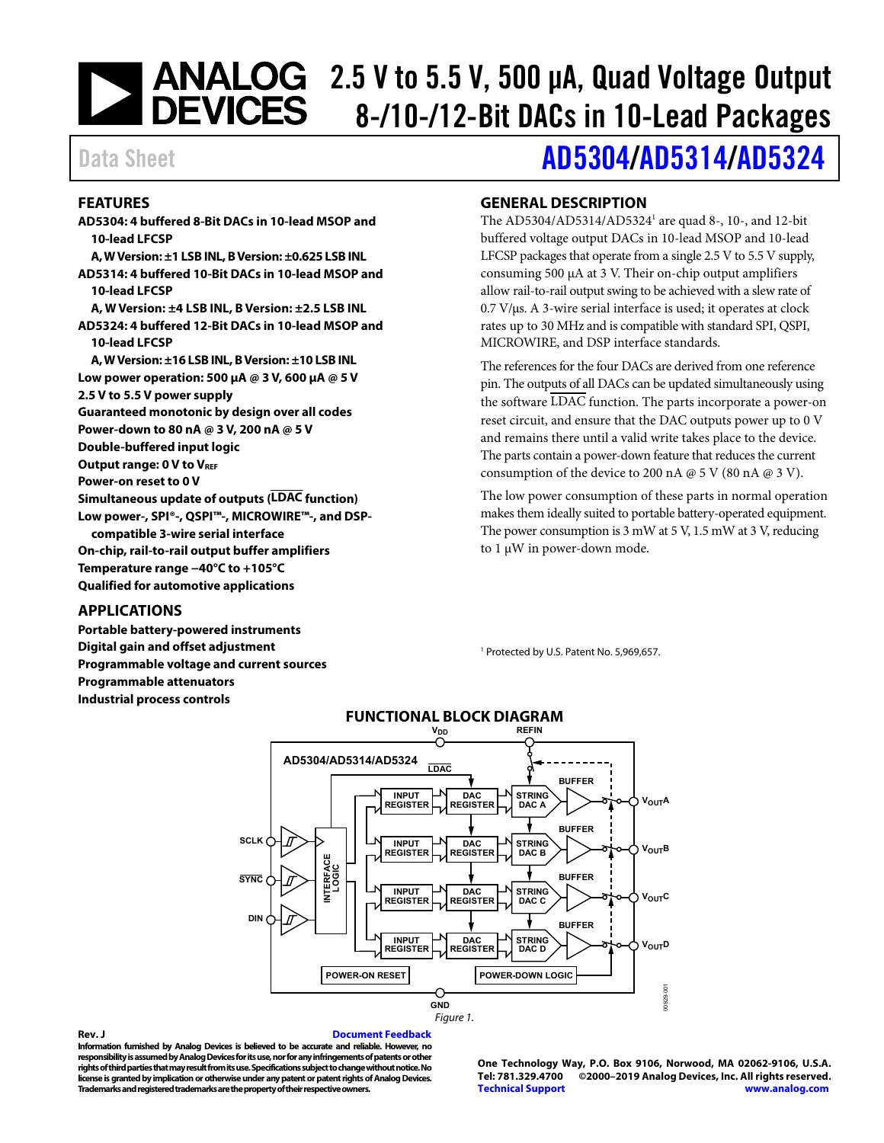# 2.5 V to 5.5 V, 500 μA, Quad Voltage Output<br>
DEVICES 8-/10-/12-Rit DACs in 10-Lead Packares 8-/10-/12-Bit DACs in 10-Lead Packages

#### <span id="page-0-0"></span>**FEATURES**

**AD5304: 4 buffered 8-Bit DACs in 10-lead MSOP and 10-lead LFCSP A, W Version: ±1 LSB INL, B Version: ±0.625 LSB INL AD5314: 4 buffered 10-Bit DACs in 10-lead MSOP and 10-lead LFCSP A, W Version: ±4 LSB INL, B Version: ±2.5 LSB INL AD5324: 4 buffered 12-Bit DACs in 10-lead MSOP and 10-lead LFCSP A, W Version: ±16 LSB INL, B Version: ±10 LSB INL Low power operation: 500 μA @ 3 V, 600 μA @ 5 V 2.5 V to 5.5 V power supply Guaranteed monotonic by design over all codes Power-down to 80 nA @ 3 V, 200 nA @ 5 V Double-buffered input logic Output range: 0 V to VREF Power-on reset to 0 V Simultaneous update of outputs (LDAC function) Low power-, SPI®-, QSPI™-, MICROWIRE™-, and DSPcompatible 3-wire serial interface On-chip, rail-to-rail output buffer amplifiers Temperature range −40°C to +105°C Qualified for automotive applications** 

#### <span id="page-0-1"></span>**APPLICATIONS**

<span id="page-0-3"></span>**Portable battery-powered instruments Digital gain and offset adjustment Programmable voltage and current sources Programmable attenuators Industrial process controls** 

## Data Sheet **[AD5304](https://www.analog.com/AD5304?doc=AD5304-5314-5324.pdf)[/AD5314/](https://www.analog.com/AD5314?doc=AD5304-5314-5324.pdf)[AD5324](https://www.analog.com/AD5324?doc=AD5304-5314-5324.pdf)**

#### <span id="page-0-2"></span>**GENERAL DESCRIPTION**

The AD5304/AD5314/AD5324<sup>1</sup> are quad 8-, 10-, and 12-bit buffered voltage output DACs in 10-lead MSOP and 10-lead LFCSP packages that operate from a single 2.5 V to 5.5 V supply, consuming 500 μA at 3 V. Their on-chip output amplifiers allow rail-to-rail output swing to be achieved with a slew rate of 0.7 V/μs. A 3-wire serial interface is used; it operates at clock rates up to 30 MHz and is compatible with standard SPI, QSPI, MICROWIRE, and DSP interface standards.

The references for the four DACs are derived from one reference pin. The outputs of all DACs can be updated simultaneously using the software LDAC function. The parts incorporate a power-on reset circuit, and ensure that the DAC outputs power up to 0 V and remains there until a valid write takes place to the device. The parts contain a power-down feature that reduces the current consumption of the device to 200 nA  $\omega$  5 V (80 nA  $\omega$  3 V).

The low power consumption of these parts in normal operation makes them ideally suited to portable battery-operated equipment. The power consumption is 3 mW at 5 V, 1.5 mW at 3 V, reducing to 1 μW in power-down mode.

1 Protected by U.S. Patent No. 5,969,657.



#### **Rev. J [Document Feedback](https://form.analog.com/Form_Pages/feedback/documentfeedback.aspx?doc=AD5304_5314_5324.pdf&product=AD5304%20AD5314%20AD5324&rev=J)**

**Information furnished by Analog Devices is believed to be accurate and reliable. However, no responsibility is assumed by Analog Devices for its use, nor for any infringements of patents or other rights of third parties that may result from its use. Specifications subject to change without notice. No license is granted by implication or otherwise under any patent or patent rights of Analog Devices. Trademarks and registered trademarks are the property of their respective owners.** 

**One Technology Way, P.O. Box 9106, Norwood, MA 02062-9106, U.S.A. Tel: 781.329.4700 ©2000–2019 Analog Devices, Inc. All rights reserved. [Technical Support](http://www.analog.com/en/content/technical_support_page/fca.html) [www.analog.com](http://www.analog.com/)**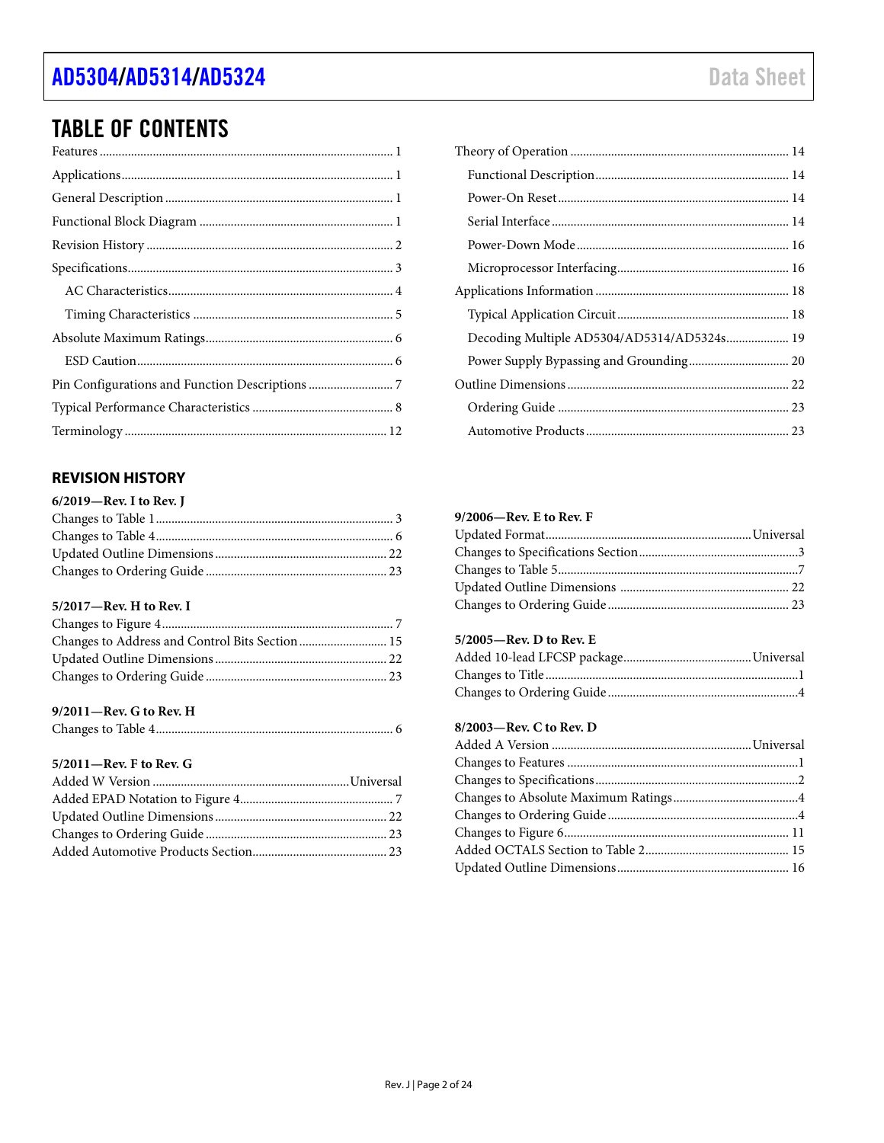### AD5304/AD5314/AD5324

### **TABLE OF CONTENTS**

### <span id="page-1-0"></span>**REVISION HISTORY**

#### 5/2017-Rev. H to Rev. I

#### 9/2011-Rev. G to Rev. H

|--|--|--|

#### 5/2011-Rev. F to Rev. G

| Decoding Multiple AD5304/AD5314/AD5324s 19 |  |
|--------------------------------------------|--|
|                                            |  |
|                                            |  |
|                                            |  |
|                                            |  |

#### $9/2006$ —Rev. E to Rev. F

#### 5/2005-Rev. D to Rev. E

#### 8/2003-Rev. C to Rev. D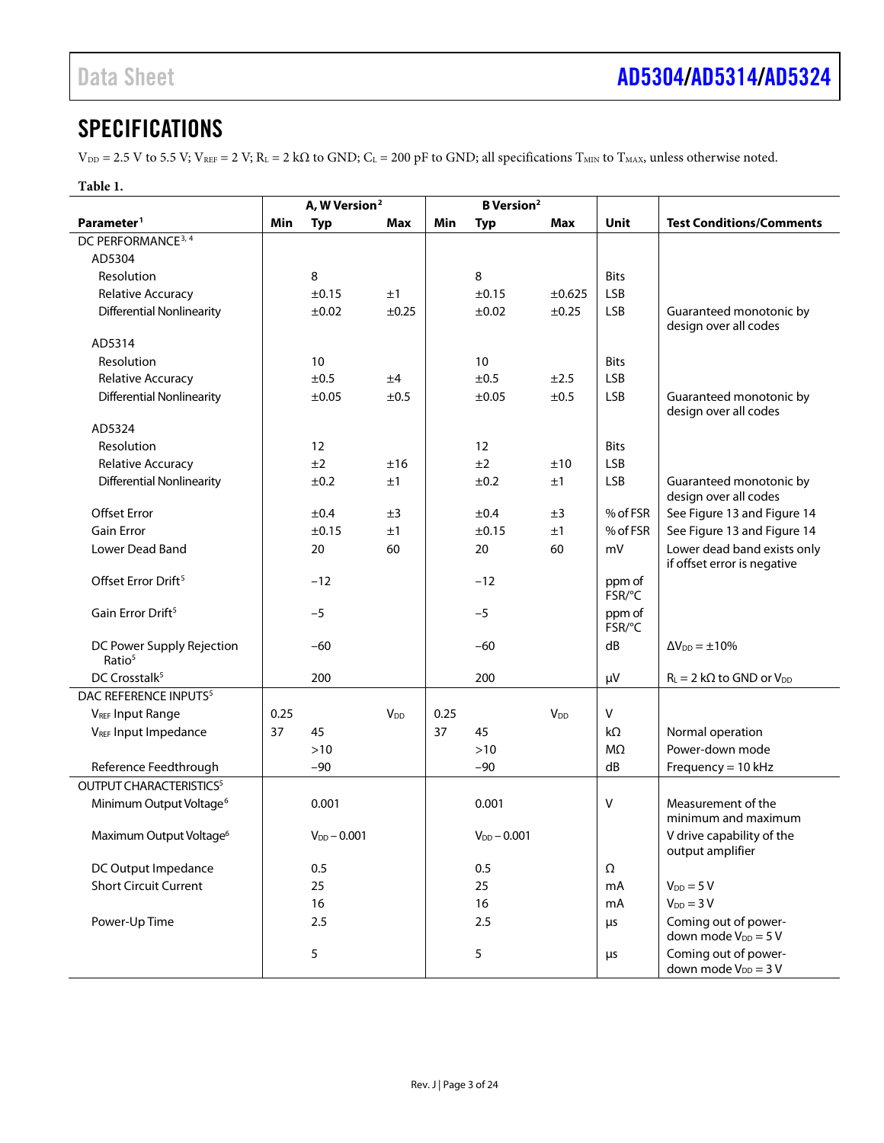### <span id="page-2-0"></span>**SPECIFICATIONS**

 $V_{\text{DD}} = 2.5$  V to 5.5 V;  $V_{\text{REF}} = 2$  V;  $R_L = 2$  k $\Omega$  to GND;  $C_L = 200$  pF to GND; all specifications  $T_{\text{MIN}}$  to  $T_{\text{MAX}}$ , unless otherwise noted.

|                                                 |      | A, W Version <sup>2</sup> |                        | <b>B</b> Version <sup>2</sup> |                  |                       |                  |                                                            |
|-------------------------------------------------|------|---------------------------|------------------------|-------------------------------|------------------|-----------------------|------------------|------------------------------------------------------------|
| Parameter <sup>1</sup>                          | Min  | <b>Typ</b>                | Max                    | Min                           | <b>Typ</b>       | Max                   | Unit             | <b>Test Conditions/Comments</b>                            |
| DC PERFORMANCE <sup>3, 4</sup>                  |      |                           |                        |                               |                  |                       |                  |                                                            |
| AD5304                                          |      |                           |                        |                               |                  |                       |                  |                                                            |
| Resolution                                      |      | 8                         |                        |                               | 8                |                       | <b>Bits</b>      |                                                            |
| Relative Accuracy                               |      | ±0.15                     | ±1                     |                               | ±0.15            | $\pm 0.625$           | <b>LSB</b>       |                                                            |
| <b>Differential Nonlinearity</b>                |      | ±0.02                     | ±0.25                  |                               | ±0.02            | $\pm 0.25$            | <b>LSB</b>       | Guaranteed monotonic by<br>design over all codes           |
| AD5314                                          |      |                           |                        |                               |                  |                       |                  |                                                            |
| Resolution                                      |      | 10 <sup>°</sup>           |                        |                               | 10               |                       | <b>Bits</b>      |                                                            |
| Relative Accuracy                               |      | ±0.5                      | ±4                     |                               | ±0.5             | ±2.5                  | <b>LSB</b>       |                                                            |
| <b>Differential Nonlinearity</b>                |      | ±0.05                     | ±0.5                   |                               | ±0.05            | ±0.5                  | <b>LSB</b>       | Guaranteed monotonic by<br>design over all codes           |
| AD5324                                          |      |                           |                        |                               |                  |                       |                  |                                                            |
| Resolution                                      |      | 12                        |                        |                               | 12               |                       | <b>Bits</b>      |                                                            |
| Relative Accuracy                               |      | ±2                        | ±16                    |                               | ±2               | ±10                   | <b>LSB</b>       |                                                            |
| <b>Differential Nonlinearity</b>                |      | ±0.2                      | ±1                     |                               | ±0.2             | ±1                    | <b>LSB</b>       | Guaranteed monotonic by<br>design over all codes           |
| <b>Offset Error</b>                             |      | ±0.4                      | ±3                     |                               | ±0.4             | ±3                    | % of FSR         | See Figure 13 and Figure 14                                |
| <b>Gain Error</b>                               |      | ±0.15                     | ±1                     |                               | ±0.15            | ±1                    | % of FSR         | See Figure 13 and Figure 14                                |
| <b>Lower Dead Band</b>                          |      | 20                        | 60                     |                               | 20               | 60                    | mV               | Lower dead band exists only<br>if offset error is negative |
| Offset Error Drift <sup>5</sup>                 |      | $-12$                     |                        |                               | $-12$            |                       | ppm of<br>FSR/°C |                                                            |
| Gain Error Drift <sup>5</sup>                   |      | $-5$                      |                        |                               | $-5$             |                       | ppm of<br>FSR/°C |                                                            |
| DC Power Supply Rejection<br>Ratio <sup>5</sup> |      | $-60$                     |                        |                               | $-60$            |                       | dB               | $\Delta V_{DD} = \pm 10\%$                                 |
| DC Crosstalk <sup>5</sup>                       |      | 200                       |                        |                               | 200              |                       | $\mu$ V          | $R_L = 2 k\Omega$ to GND or $V_{DD}$                       |
| DAC REFERENCE INPUTS <sup>5</sup>               |      |                           |                        |                               |                  |                       |                  |                                                            |
| <b>VREF Input Range</b>                         | 0.25 |                           | <b>V</b> <sub>DD</sub> | 0.25                          |                  | <b>V<sub>DD</sub></b> | V                |                                                            |
| V <sub>REF</sub> Input Impedance                | 37   | 45                        |                        | 37                            | 45               |                       | kΩ               | Normal operation                                           |
|                                                 |      | $>10$                     |                        |                               | $>10$            |                       | $M\Omega$        | Power-down mode                                            |
| Reference Feedthrough                           |      | $-90$                     |                        |                               | $-90$            |                       | dB               | Frequency = 10 kHz                                         |
| <b>OUTPUT CHARACTERISTICS<sup>5</sup></b>       |      |                           |                        |                               |                  |                       |                  |                                                            |
| Minimum Output Voltage <sup>6</sup>             |      | 0.001                     |                        |                               | 0.001            |                       | V                | Measurement of the<br>minimum and maximum                  |
| Maximum Output Voltage <sup>6</sup>             |      | $V_{DD} - 0.001$          |                        |                               | $V_{DD} - 0.001$ |                       |                  | V drive capability of the<br>output amplifier              |
| DC Output Impedance                             |      | 0.5                       |                        |                               | 0.5              |                       | Ω                |                                                            |
| <b>Short Circuit Current</b>                    |      | 25                        |                        |                               | 25               |                       | mA               | $V_{DD} = 5 V$                                             |
|                                                 |      | 16                        |                        |                               | 16               |                       | mA               | $V_{DD} = 3 V$                                             |
| Power-Up Time                                   |      | 2.5                       |                        |                               | 2.5              |                       | μs               | Coming out of power-<br>down mode $V_{DD} = 5 V$           |
|                                                 |      | 5                         |                        |                               | 5                |                       | μs               | Coming out of power-<br>down mode $V_{DD} = 3 V$           |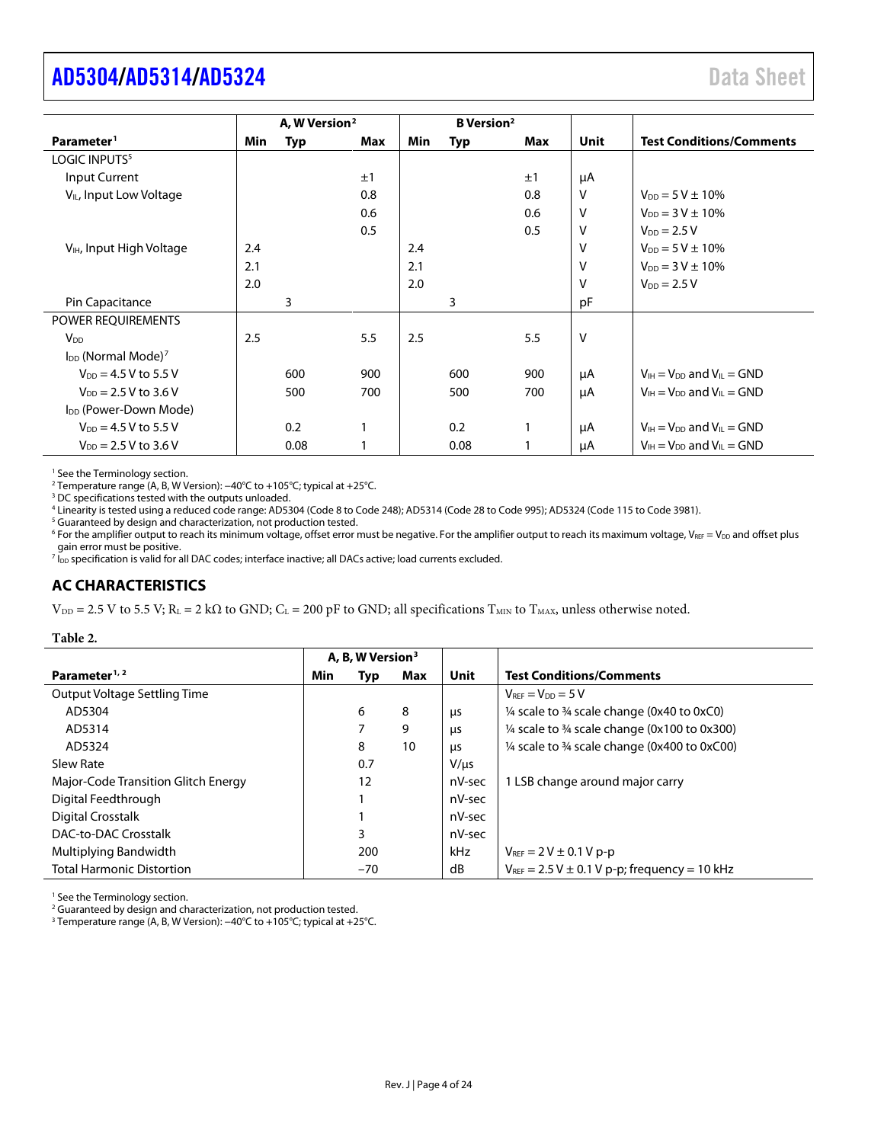### <span id="page-3-1"></span>**[AD5304](https://www.analog.com/AD5304?doc=AD5304-5314-5324.pdf)[/AD5314](https://www.analog.com/AD5314?doc=AD5304-5314-5324.pdf)[/AD5324](https://www.analog.com/AD5324?doc=AD5304-5314-5324.pdf)** Data Sheet

|                                      |     | A, W Version <sup>2</sup> |     |     | <b>B</b> Version <sup>2</sup> |              |        |                                      |
|--------------------------------------|-----|---------------------------|-----|-----|-------------------------------|--------------|--------|--------------------------------------|
| Parameter <sup>1</sup>               | Min | <b>Typ</b>                | Max | Min | <b>Typ</b>                    | Max          | Unit   | <b>Test Conditions/Comments</b>      |
| LOGIC INPUTS <sup>5</sup>            |     |                           |     |     |                               |              |        |                                      |
| <b>Input Current</b>                 |     |                           | ±1  |     |                               | ±1           | μA     |                                      |
| V <sub>IL</sub> , Input Low Voltage  |     |                           | 0.8 |     |                               | 0.8          | $\vee$ | $V_{DD} = 5 V \pm 10\%$              |
|                                      |     |                           | 0.6 |     |                               | 0.6          | $\vee$ | $V_{DD} = 3 V \pm 10\%$              |
|                                      |     |                           | 0.5 |     |                               | 0.5          | $\vee$ | $V_{DD} = 2.5 V$                     |
| V <sub>IH</sub> , Input High Voltage | 2.4 |                           |     | 2.4 |                               |              | $\vee$ | $V_{DD} = 5 V \pm 10\%$              |
|                                      | 2.1 |                           |     | 2.1 |                               |              | $\vee$ | $V_{DD} = 3 V \pm 10\%$              |
|                                      | 2.0 |                           |     | 2.0 |                               |              | $\vee$ | $V_{DD} = 2.5 V$                     |
| Pin Capacitance                      |     | 3                         |     |     | 3                             |              | рF     |                                      |
| POWER REQUIREMENTS                   |     |                           |     |     |                               |              |        |                                      |
| <b>V</b> <sub>DD</sub>               | 2.5 |                           | 5.5 | 2.5 |                               | 5.5          | $\vee$ |                                      |
| $I_{DD}$ (Normal Mode) <sup>7</sup>  |     |                           |     |     |                               |              |        |                                      |
| $V_{DD} = 4.5 V$ to 5.5 V            |     | 600                       | 900 |     | 600                           | 900          | μA     | $V_{H} = V_{DD}$ and $V_{II} = GND$  |
| $V_{DD}$ = 2.5 V to 3.6 V            |     | 500                       | 700 |     | 500                           | 700          | μA     | $V_{H} = V_{DD}$ and $V_{H} = GND$   |
| I <sub>DD</sub> (Power-Down Mode)    |     |                           |     |     |                               |              |        |                                      |
| $V_{DD} = 4.5 V$ to 5.5 V            |     | 0.2                       |     |     | 0.2                           | $\mathbf{1}$ | μA     | $V_{IH} = V_{DD}$ and $V_{IL} = GND$ |
| $V_{DD} = 2.5 V to 3.6 V$            |     | 0.08                      |     |     | 0.08                          |              | μA     | $V_{IH} = V_{DD}$ and $V_{IL} = GND$ |

<sup>1</sup> See th[e Terminology](#page-11-0) section.

<sup>2</sup> Temperature range (A, B, W Version): −40°C to +105°C; typical at +25°C.<br><sup>3</sup> DC specifications tested with the outputs unloaded.

<sup>3</sup> DC specifications tested with the outputs unloaded.<br><sup>4</sup> Linearity is tested using a reduced code range: AD5304 (Code 8 to Code 248); AD5314 (Code 28 to Code 995); AD5324 (Code 115 to Code 3981).

<sup>5</sup> Guaranteed by design and characterization, not production tested.

 $6$  For the amplifier output to reach its minimum voltage, offset error must be negative. For the amplifier output to reach its maximum voltage, V<sub>REF</sub> = V<sub>DD</sub> and offset plus gain error must be positive.

 $\frac{7}{100}$  specification is valid for all DAC codes; interface inactive; all DACs active; load currents excluded.

#### <span id="page-3-0"></span>**AC CHARACTERISTICS**

 $V_{DD} = 2.5$  V to 5.5 V; R<sub>L</sub> = 2 kΩ to GND; C<sub>L</sub> = 200 pF to GND; all specifications T<sub>MIN</sub> to T<sub>MAX</sub>, unless otherwise noted.

#### **Table 2.**

|                                     | A, B, W Version <sup>3</sup> |       |     |           |                                                                    |
|-------------------------------------|------------------------------|-------|-----|-----------|--------------------------------------------------------------------|
| Parameter <sup>1, 2</sup>           | Min                          | Typ   | Max | Unit      | <b>Test Conditions/Comments</b>                                    |
| Output Voltage Settling Time        |                              |       |     |           | $V_{\text{REF}} = V_{\text{DD}} = 5 V$                             |
| AD5304                              |                              | 6     | 8   | μs        | $\frac{1}{4}$ scale to $\frac{3}{4}$ scale change (0x40 to 0xC0)   |
| AD5314                              |                              |       | 9   | μs        | $\frac{1}{4}$ scale to $\frac{3}{4}$ scale change (0x100 to 0x300) |
| AD5324                              |                              | 8     | 10  | μs        | 1/4 scale to 3/4 scale change (0x400 to 0xC00)                     |
| Slew Rate                           |                              | 0.7   |     | $V/\mu s$ |                                                                    |
| Major-Code Transition Glitch Energy |                              | 12    |     | nV-sec    | 1 LSB change around major carry                                    |
| Digital Feedthrough                 |                              |       |     | nV-sec    |                                                                    |
| Digital Crosstalk                   |                              |       |     | nV-sec    |                                                                    |
| DAC-to-DAC Crosstalk                |                              | 3     |     | nV-sec    |                                                                    |
| Multiplying Bandwidth               |                              | 200   |     | kHz       | $V_{\text{REF}} = 2 V \pm 0.1 V p - p$                             |
| <b>Total Harmonic Distortion</b>    |                              | $-70$ |     | dB        | $V_{REF}$ = 2.5 V $\pm$ 0.1 V p-p; frequency = 10 kHz              |

<sup>1</sup> See th[e Terminology](#page-11-0) section.

<sup>2</sup> Guaranteed by design and characterization, not production tested.

<sup>3</sup> Temperature range (A, B, W Version): −40°C to +105°C; typical at +25°C.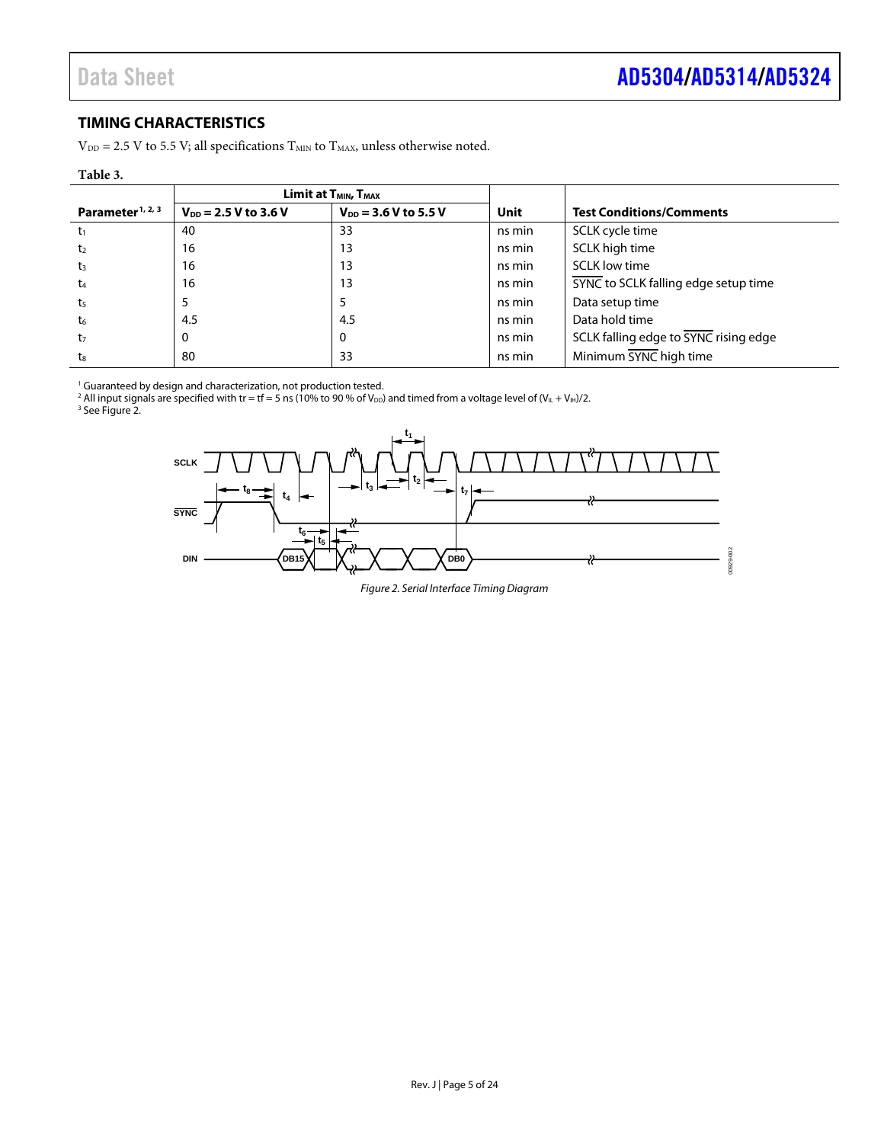### <span id="page-4-0"></span>**TIMING CHARACTERISTICS**

 $V_{DD}$  = 2.5 V to 5.5 V; all specifications  $T_{MIN}$  to  $T_{MAX}$ , unless otherwise noted.

#### **Table 3.**

|                              |                           | <b>Limit at <math>T_{MIN}</math>, <math>T_{MAX}</math></b> |                                  |                                       |  |
|------------------------------|---------------------------|------------------------------------------------------------|----------------------------------|---------------------------------------|--|
| Parameter <sup>1, 2, 3</sup> | $V_{DD} = 2.5 V to 3.6 V$ | $V_{DD}$ = 3.6 V to 5.5 V                                  | Unit                             | <b>Test Conditions/Comments</b>       |  |
| $t_1$                        | 40                        | 33                                                         | ns min                           | SCLK cycle time                       |  |
| t <sub>2</sub>               | 16                        | 13                                                         | ns min                           | SCLK high time                        |  |
| t <sub>3</sub>               | 16                        | 13                                                         | ns min                           | <b>SCLK low time</b>                  |  |
| t <sub>4</sub>               | 16                        | 13                                                         | ns min                           | SYNC to SCLK falling edge setup time  |  |
| t <sub>5</sub>               |                           |                                                            | ns min                           | Data setup time                       |  |
| $t_{6}$                      | 4.5                       | 4.5                                                        | ns min                           | Data hold time                        |  |
| t <sub>7</sub>               | 0                         | 0                                                          | ns min                           | SCLK falling edge to SYNC rising edge |  |
| ts                           | 80                        | 33                                                         | Minimum SYNC high time<br>ns min |                                       |  |

<sup>1</sup> Guaranteed by design and characterization, not production tested.

<sup>2</sup> All input signals are specified with tr = tf = 5 ns (10% to 90 % of V<sub>DD</sub>) and timed from a voltage level of (V<sub>IL</sub> + V<sub>IH</sub>)/2.

<span id="page-4-1"></span><sup>3</sup> Se[e Figure 2.](#page-4-1)



*Figure 2. Serial Interface Timing Diagram*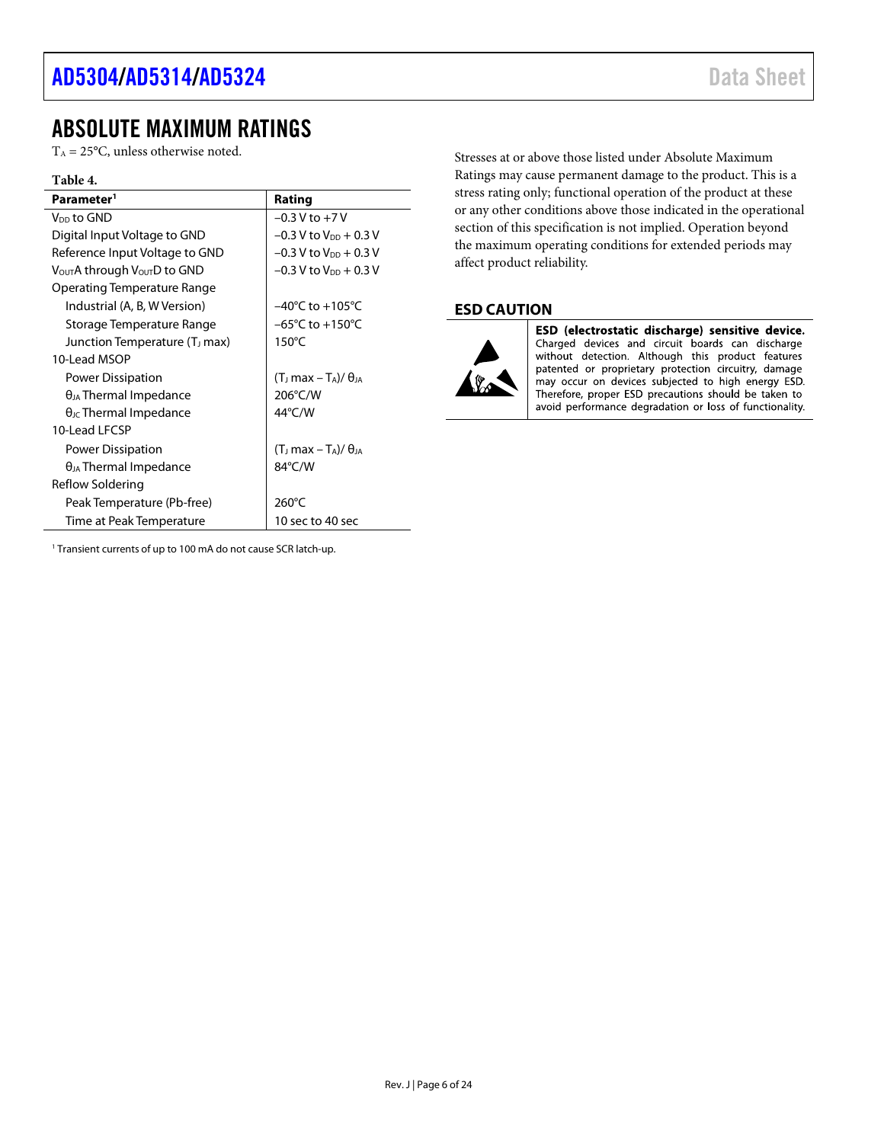### <span id="page-5-0"></span>ABSOLUTE MAXIMUM RATINGS

 $T_A = 25$ °C, unless otherwise noted.

#### **Table 4.**

| Parameter <sup>1</sup>                               | Rating                                                 |  |  |  |
|------------------------------------------------------|--------------------------------------------------------|--|--|--|
| V <sub>DD</sub> to GND                               | $-0.3 V$ to $+7 V$                                     |  |  |  |
| Digital Input Voltage to GND                         | $-0.3$ V to $V_{DD}$ + 0.3 V                           |  |  |  |
| Reference Input Voltage to GND                       | $-0.3$ V to V <sub>DD</sub> + 0.3 V                    |  |  |  |
| V <sub>OUT</sub> A through V <sub>OUT</sub> D to GND | $-0.3$ V to $V_{DD}$ + 0.3 V                           |  |  |  |
| Operating Temperature Range                          |                                                        |  |  |  |
| Industrial (A, B, W Version)                         | $-40^{\circ}$ C to $+105^{\circ}$ C                    |  |  |  |
| Storage Temperature Range                            | $-65^{\circ}$ C to $+150^{\circ}$ C                    |  |  |  |
| Junction Temperature (T <sub>J</sub> max)            | $150^{\circ}$ C                                        |  |  |  |
| 10-Lead MSOP                                         |                                                        |  |  |  |
| Power Dissipation                                    | $(T_{\rm J}$ max – T <sub>A</sub> )/ $\theta_{\rm JA}$ |  |  |  |
| $\theta_{JA}$ Thermal Impedance                      | 206°C/W                                                |  |  |  |
| $\theta$ <sub>JC</sub> Thermal Impedance             | 44°C/W                                                 |  |  |  |
| 10-Lead LECSP                                        |                                                        |  |  |  |
| <b>Power Dissipation</b>                             | $(T1 max - TA)/\thetaIA$                               |  |  |  |
| $\theta_{JA}$ Thermal Impedance                      | 84°C/W                                                 |  |  |  |
| Reflow Soldering                                     |                                                        |  |  |  |
| Peak Temperature (Pb-free)                           | $260^{\circ}$ C                                        |  |  |  |
| Time at Peak Temperature                             | 10 sec to 40 sec                                       |  |  |  |

Stresses at or above those listed under Absolute Maximum Ratings may cause permanent damage to the product. This is a stress rating only; functional operation of the product at these or any other conditions above those indicated in the operational section of this specification is not implied. Operation beyond the maximum operating conditions for extended periods may affect product reliability.

#### <span id="page-5-1"></span>**ESD CAUTION**



ESD (electrostatic discharge) sensitive device. Charged devices and circuit boards can discharge<br>without detection. Although this product features patented or proprietary protection circuitry, damage may occur on devices subjected to high energy ESD. Therefore, proper ESD precautions should be taken to avoid performance degradation or loss of functionality.

<sup>1</sup> Transient currents of up to 100 mA do not cause SCR latch-up.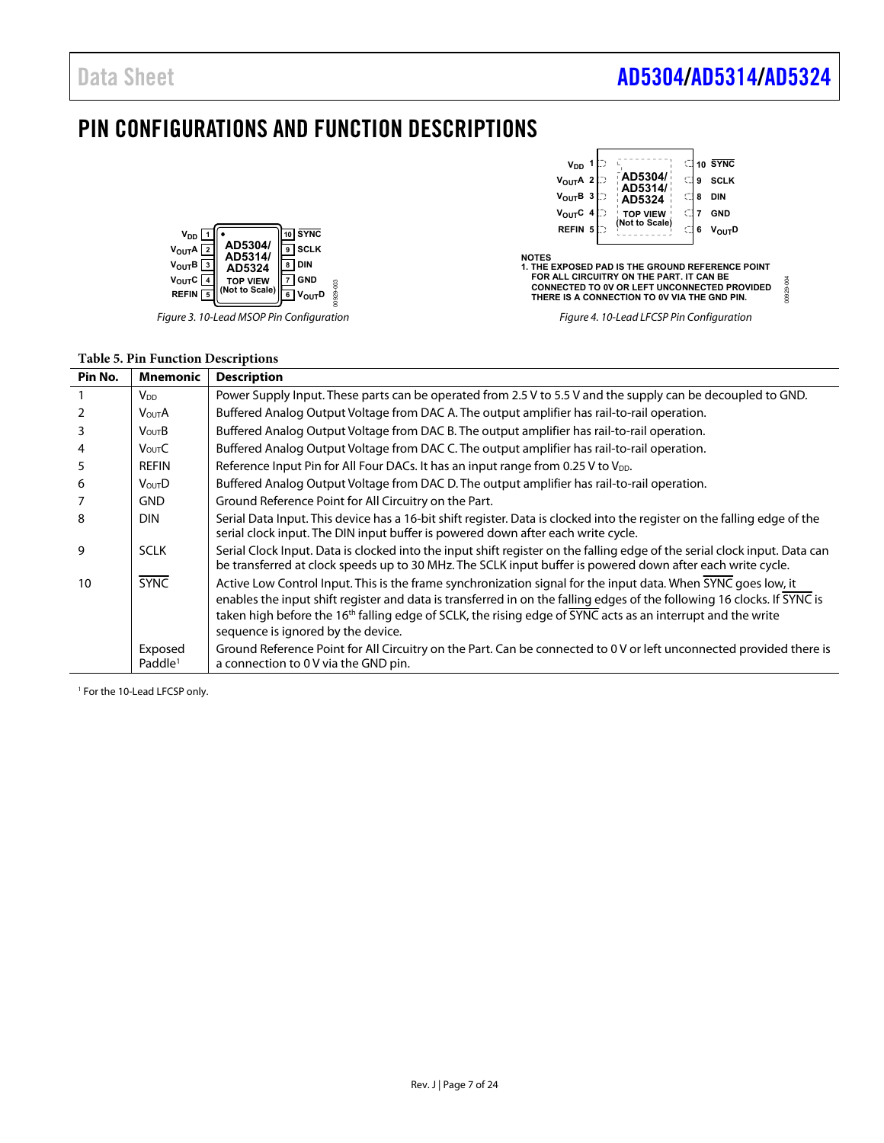00929-004

DRP8280

### <span id="page-6-0"></span>PIN CONFIGURATIONS AND FUNCTION DESCRIPTIONS



Figure 3. 10-Lead MSOP Pin Configuration

#### **Table 5. Pin Function Descriptions**

| V <sub>DD</sub> 1<br>V <sub>OUT</sub> A 2                                                                                                                                                                           | AD5304/<br>AD5314/                        | 10 SYNC<br><b>SCLK</b><br>9 |  |  |  |  |  |  |
|---------------------------------------------------------------------------------------------------------------------------------------------------------------------------------------------------------------------|-------------------------------------------|-----------------------------|--|--|--|--|--|--|
| V <sub>OUT</sub> B 3<br>V <sub>OUT</sub> C 4                                                                                                                                                                        | C<br>AD5324                               | <b>DIN</b><br>8             |  |  |  |  |  |  |
|                                                                                                                                                                                                                     | <b>TOP VIEW</b>                           | <b>GND</b><br>7             |  |  |  |  |  |  |
| REFIN <sub>5</sub>                                                                                                                                                                                                  | (Not to Scale)                            | 6<br>V <sub>OUT</sub> D     |  |  |  |  |  |  |
| <b>NOTES</b><br>1. THE EXPOSED PAD IS THE GROUND REFERENCE POINT<br>FOR ALL CIRCUITRY ON THE PART. IT CAN BE<br><b>CONNECTED TO 0V OR LEFT UNCONNECTED PROVIDED</b><br>THERE IS A CONNECTION TO 0V VIA THE GND PIN. |                                           |                             |  |  |  |  |  |  |
|                                                                                                                                                                                                                     | Figure 4. 10-Lead LFCSP Pin Configuration |                             |  |  |  |  |  |  |

**Pin No.** | Mnemonic | Description  $1 \qquad |V_{DD} \qquad |P_{ON}$  Power Supply Input. These parts can be operated from 2.5 V to 5.5 V and the supply can be decoupled to GND. 2 V<sub>OUT</sub>A Buffered Analog Output Voltage from DAC A. The output amplifier has rail-to-rail operation. **3** V<sub>OUT</sub>B Buffered Analog Output Voltage from DAC B. The output amplifier has rail-to-rail operation.  $|V_{\text{OUT}}C|$  Buffered Analog Output Voltage from DAC C. The output amplifier has rail-to-rail operation. 5 REFIN Reference Input Pin for All Four DACs. It has an input range from 0.25 V to V<sub>DD</sub>.  $\begin{array}{c|c} 6 & \text{|} \text{V}_{\text{OUT}}\text{D} & \text{Buffered Analog Output Voltage from DAC D.} \end{array}$  Equation. 7 GND Ground Reference Point for All Circuitry on the Part. 8 DIN Serial Data Input. This device has a 16-bit shift register. Data is clocked into the register on the falling edge of the serial clock input. The DIN input buffer is powered down after each write cycle. 9 SCLK Serial Clock Input. Data is clocked into the input shift register on the falling edge of the serial clock input. Data can be transferred at clock speeds up to 30 MHz. The SCLK input buffer is powered down after each write cycle. 10 | SYNC | Active Low Control Input. This is the frame synchronization signal for the input data. When SYNC goes low, it enables the input shift register and data is transferred in on the falling edges of the following 16 clocks. If SYNC is taken high before the 16<sup>th</sup> falling edge of SCLK, the rising edge of SYNC acts as an interrupt and the write sequence is ignored by the device. Exposed Paddle<sup>1</sup> Ground Reference Point for All Circuitry on the Part. Can be connected to 0 V or left unconnected provided there is a connection to 0 V via the GND pin.

<sup>1</sup> For the 10-Lead LFCSP only.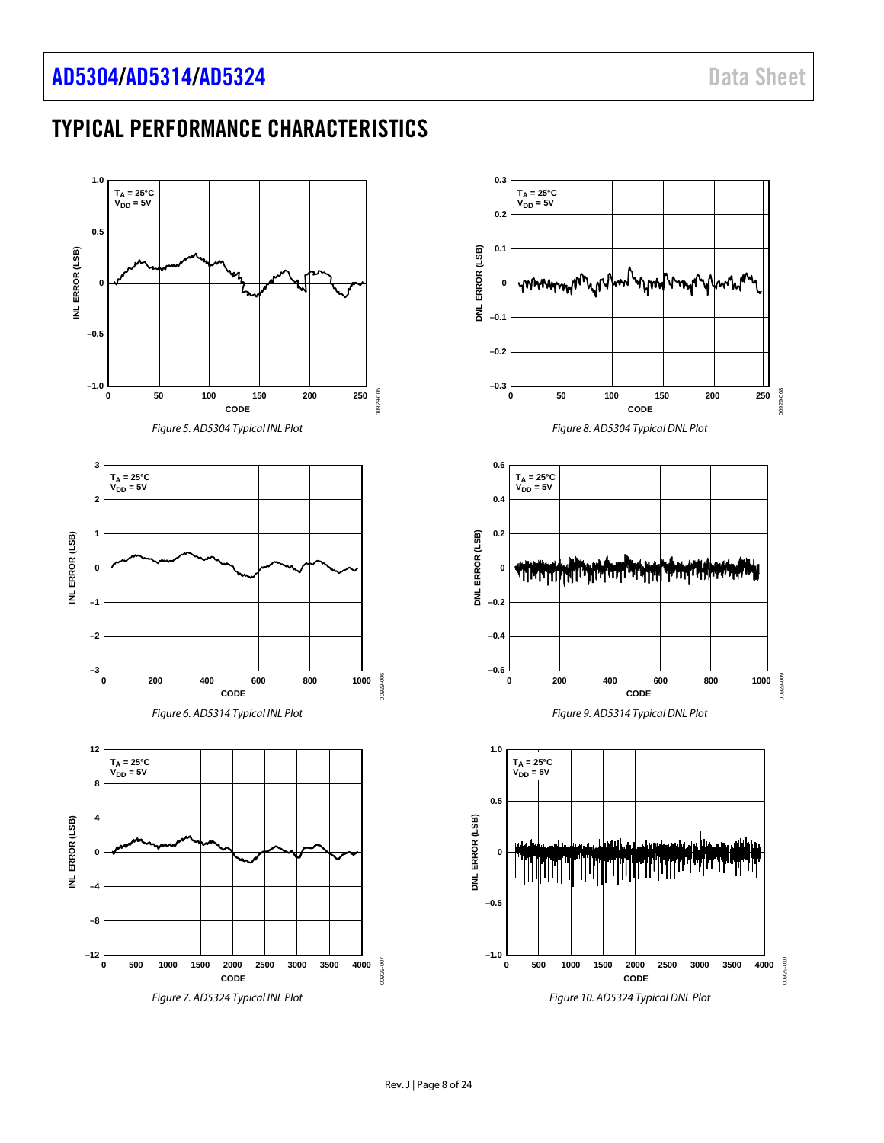## <span id="page-7-0"></span>TYPICAL PERFORMANCE CHARACTERISTICS

<span id="page-7-3"></span><span id="page-7-2"></span><span id="page-7-1"></span>

<span id="page-7-6"></span><span id="page-7-5"></span><span id="page-7-4"></span>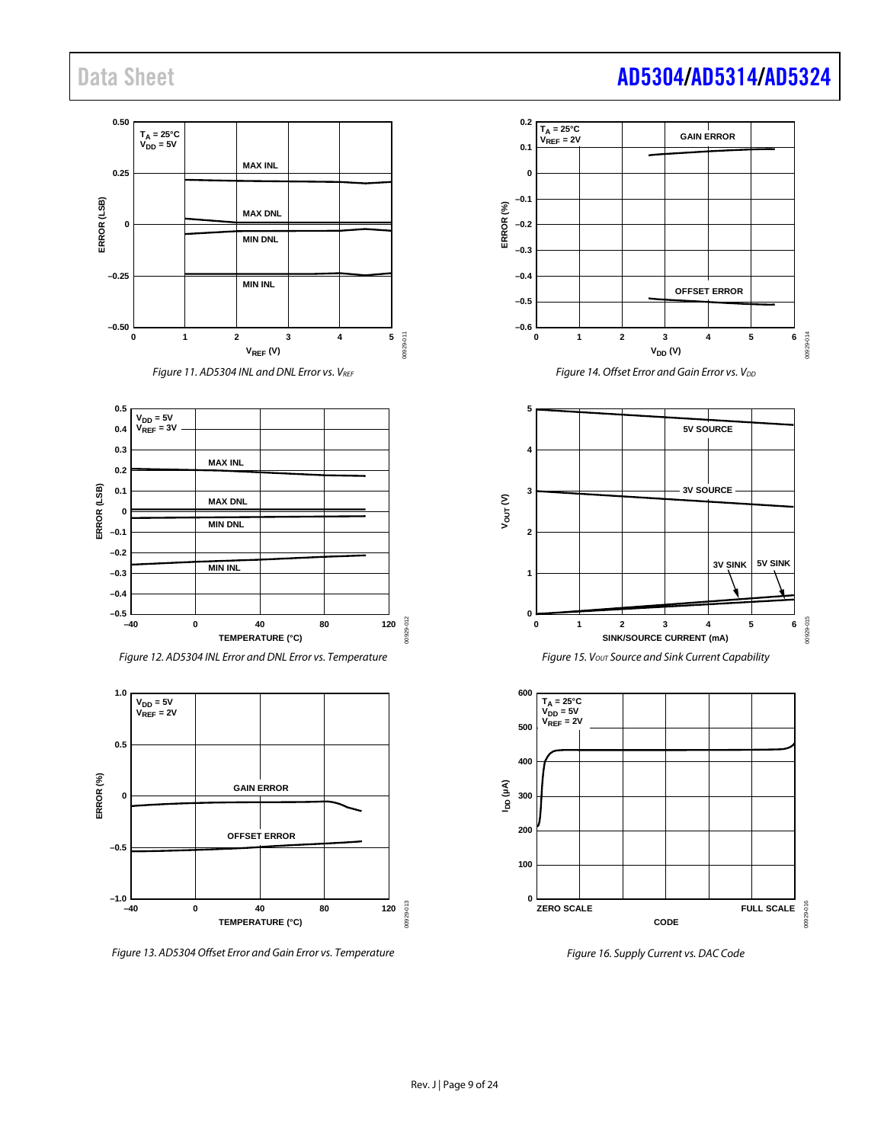







<span id="page-8-0"></span>*Figure 13. AD5304 Offset Error and Gain Error vs. Temperature*

<span id="page-8-1"></span>



<span id="page-8-2"></span>

*Figure 16. Supply Current vs. DAC Code*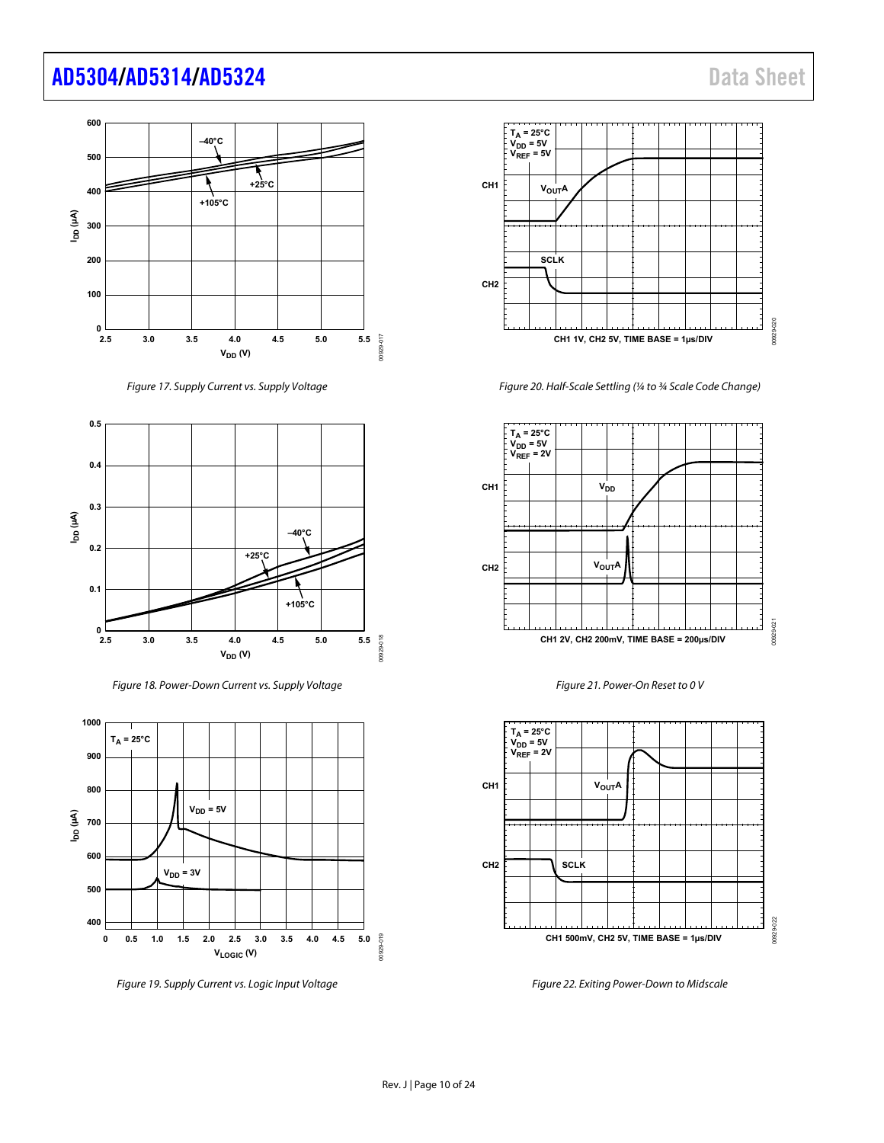### [AD5304](https://www.analog.com/AD5304?doc=AD5304-5314-5324.pdf)[/AD5314](https://www.analog.com/AD5314?doc=AD5304-5314-5324.pdf)[/AD5324](https://www.analog.com/AD5324?doc=AD5304-5314-5324.pdf) Data Sheet



Figure 17. Supply Current vs. Supply Voltage



Figure 18. Power-Down Current vs. Supply Voltage



Figure 19. Supply Current vs. Logic Input Voltage



Figure 20. Half-Scale Settling (¼ to ¾ Scale Code Change)







<span id="page-9-0"></span>Figure 22. Exiting Power-Down to Midscale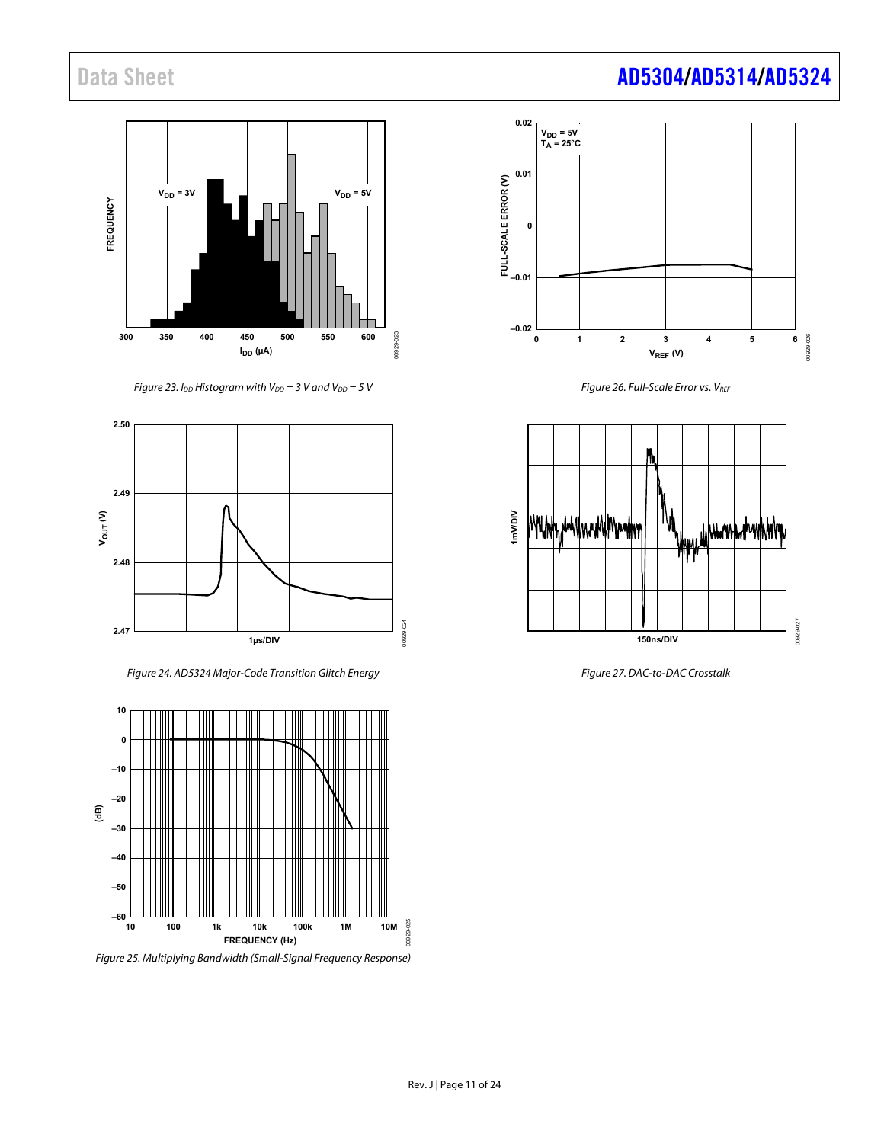

Figure 23. I<sub>DD</sub> Histogram with V<sub>DD</sub> = 3 V and V<sub>DD</sub> = 5 V



Figure 24. AD5324 Major-Code Transition Glitch Energy



Figure 25. Multiplying Bandwidth (Small-Signal Frequency Response)



Figure 26. Full-Scale Error vs. VREF



Figure 27. DAC-to-DAC Crosstalk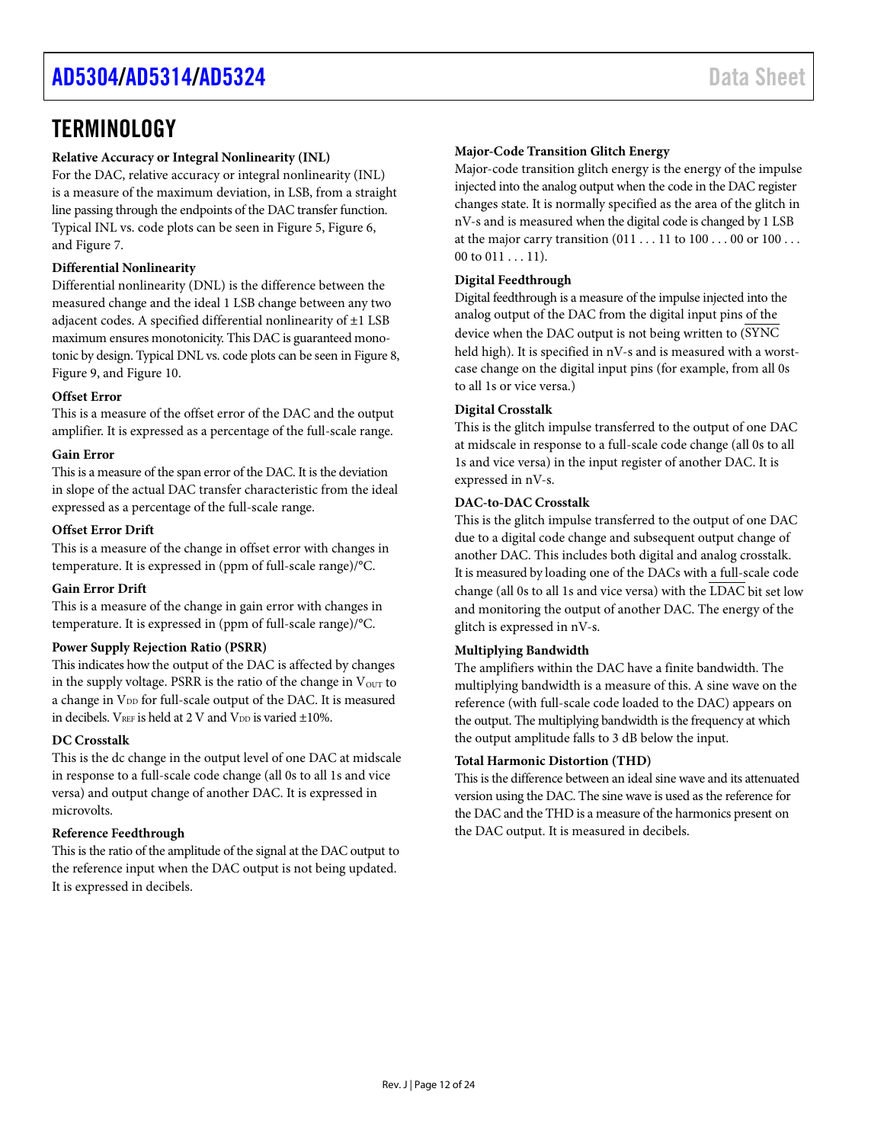### <span id="page-11-0"></span>**TERMINOLOGY**

#### **Relative Accuracy or Integral Nonlinearity (INL)**

For the DAC, relative accuracy or integral nonlinearity (INL) is a measure of the maximum deviation, in LSB, from a straight line passing through the endpoints of the DAC transfer function. Typical INL vs. code plots can be seen in [Figure 5,](#page-7-1) [Figure 6,](#page-7-2) an[d Figure 7.](#page-7-3)

#### **Differential Nonlinearity**

Differential nonlinearity (DNL) is the difference between the measured change and the ideal 1 LSB change between any two adjacent codes. A specified differential nonlinearity of ±1 LSB maximum ensures monotonicity. This DAC is guaranteed monotonic by design. Typical DNL vs. code plots can be seen i[n Figure 8,](#page-7-4)  [Figure 9,](#page-7-5) and [Figure 10.](#page-7-6)

#### **Offset Error**

This is a measure of the offset error of the DAC and the output amplifier. It is expressed as a percentage of the full-scale range.

#### **Gain Error**

This is a measure of the span error of the DAC. It is the deviation in slope of the actual DAC transfer characteristic from the ideal expressed as a percentage of the full-scale range.

#### **Offset Error Drift**

This is a measure of the change in offset error with changes in temperature. It is expressed in (ppm of full-scale range)/°C.

#### **Gain Error Drift**

This is a measure of the change in gain error with changes in temperature. It is expressed in (ppm of full-scale range)/°C.

#### **Power Supply Rejection Ratio (PSRR)**

This indicates how the output of the DAC is affected by changes in the supply voltage. PSRR is the ratio of the change in  $V_{\text{OUT}}$  to a change in V<sub>DD</sub> for full-scale output of the DAC. It is measured in decibels.  $V_{REF}$  is held at 2 V and  $V_{DD}$  is varied  $\pm 10\%$ .

#### **DC Crosstalk**

This is the dc change in the output level of one DAC at midscale in response to a full-scale code change (all 0s to all 1s and vice versa) and output change of another DAC. It is expressed in microvolts.

#### **Reference Feedthrough**

This is the ratio of the amplitude of the signal at the DAC output to the reference input when the DAC output is not being updated. It is expressed in decibels.

#### **Major-Code Transition Glitch Energy**

Major-code transition glitch energy is the energy of the impulse injected into the analog output when the code in the DAC register changes state. It is normally specified as the area of the glitch in nV-s and is measured when the digital code is changed by 1 LSB at the major carry transition (011 . . . 11 to 100 . . . 00 or 100 . . . 00 to  $011...11$ ).

#### **Digital Feedthrough**

Digital feedthrough is a measure of the impulse injected into the analog output of the DAC from the digital input pins of the device when the DAC output is not being written to (SYNC held high). It is specified in nV-s and is measured with a worstcase change on the digital input pins (for example, from all 0s to all 1s or vice versa.)

#### **Digital Crosstalk**

This is the glitch impulse transferred to the output of one DAC at midscale in response to a full-scale code change (all 0s to all 1s and vice versa) in the input register of another DAC. It is expressed in nV-s.

#### **DAC-to-DAC Crosstalk**

This is the glitch impulse transferred to the output of one DAC due to a digital code change and subsequent output change of another DAC. This includes both digital and analog crosstalk. It is measured by loading one of the DACs with a full-scale code change (all 0s to all 1s and vice versa) with the LDAC bit set low and monitoring the output of another DAC. The energy of the glitch is expressed in nV-s.

#### **Multiplying Bandwidth**

The amplifiers within the DAC have a finite bandwidth. The multiplying bandwidth is a measure of this. A sine wave on the reference (with full-scale code loaded to the DAC) appears on the output. The multiplying bandwidth is the frequency at which the output amplitude falls to 3 dB below the input.

#### **Total Harmonic Distortion (THD)**

This is the difference between an ideal sine wave and its attenuated version using the DAC. The sine wave is used as the reference for the DAC and the THD is a measure of the harmonics present on the DAC output. It is measured in decibels.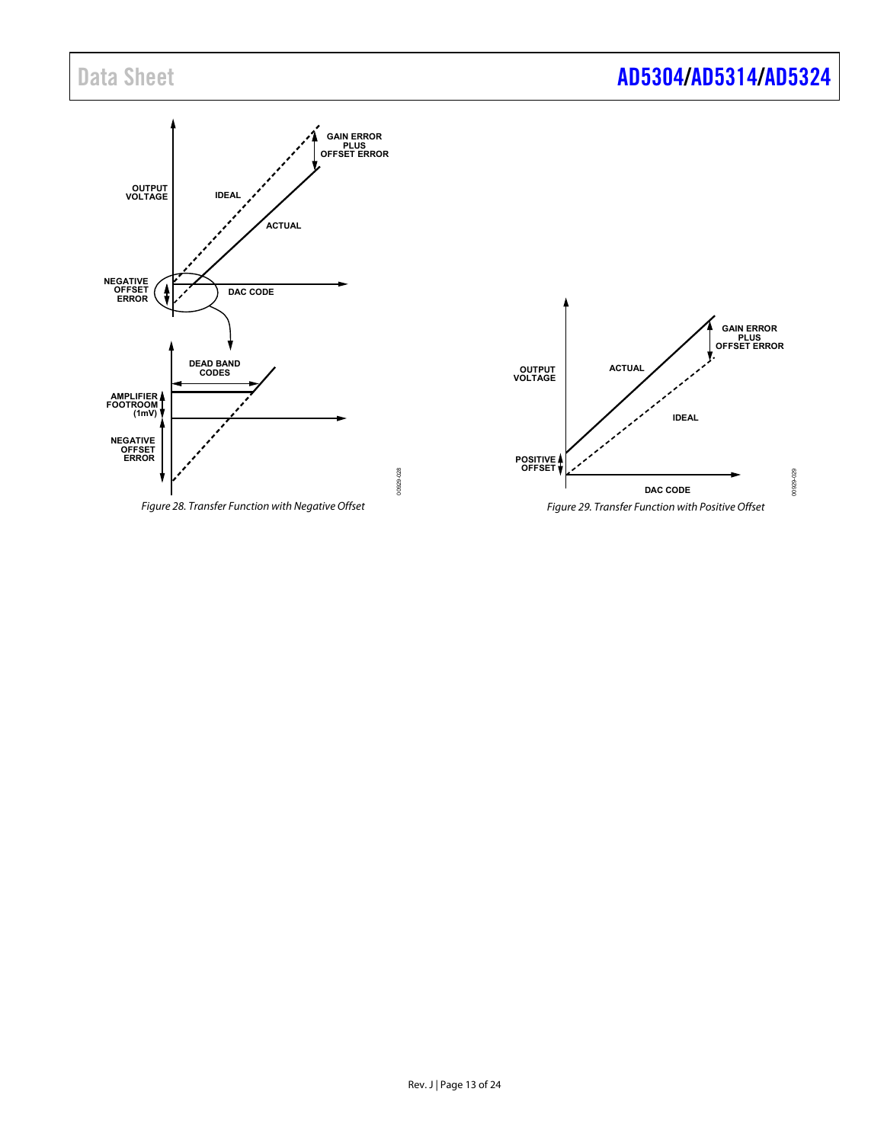

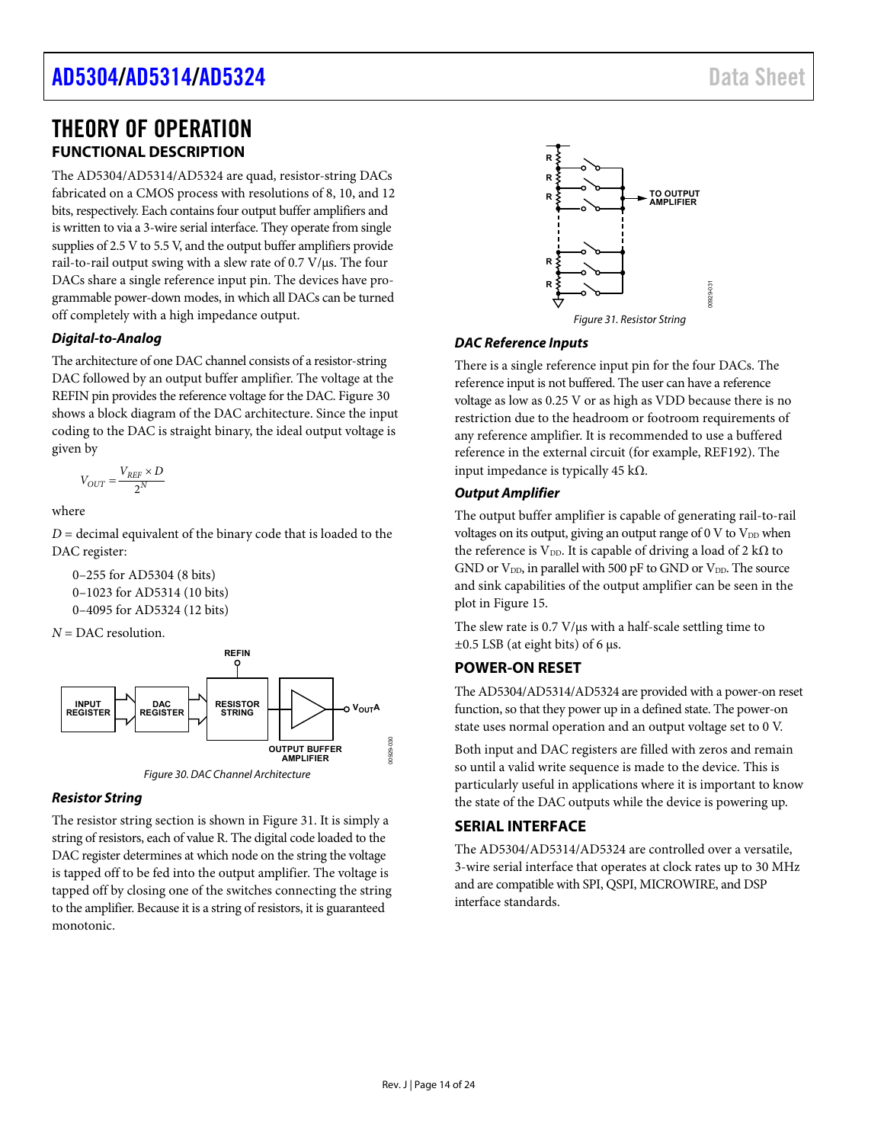### **[AD5304](https://www.analog.com/AD5304?doc=AD5304-5314-5324.pdf)[/AD5314](https://www.analog.com/AD5314?doc=AD5304-5314-5324.pdf)[/AD5324](https://www.analog.com/AD5324?doc=AD5304-5314-5324.pdf)** Data Sheet

### <span id="page-13-0"></span>THEORY OF OPERATION **FUNCTIONAL DESCRIPTION**

<span id="page-13-1"></span>The AD5304/AD5314/AD5324 are quad, resistor-string DACs fabricated on a CMOS process with resolutions of 8, 10, and 12 bits, respectively. Each contains four output buffer amplifiers and is written to via a 3-wire serial interface. They operate from single supplies of 2.5 V to 5.5 V, and the output buffer amplifiers provide rail-to-rail output swing with a slew rate of 0.7 V/μs. The four DACs share a single reference input pin. The devices have programmable power-down modes, in which all DACs can be turned off completely with a high impedance output.

#### **Digital-to-Analog**

The architecture of one DAC channel consists of a resistor-string DAC followed by an output buffer amplifier. The voltage at the REFIN pin provides the reference voltage for the DAC[. Figure 30](#page-13-4)  shows a block diagram of the DAC architecture. Since the input coding to the DAC is straight binary, the ideal output voltage is given by

$$
V_{OUT} = \frac{V_{REF} \times D}{2^N}
$$

where

 $D =$  decimal equivalent of the binary code that is loaded to the DAC register:

```
0–255 for AD5304 (8 bits) 
0–1023 for AD5314 (10 bits) 
0–4095 for AD5324 (12 bits)
```
*N* = DAC resolution.



Figure 30. DAC Channel Architecture

#### <span id="page-13-4"></span>**Resistor String**

The resistor string section is shown in [Figure 31.](#page-13-5) It is simply a string of resistors, each of value R. The digital code loaded to the DAC register determines at which node on the string the voltage is tapped off to be fed into the output amplifier. The voltage is tapped off by closing one of the switches connecting the string to the amplifier. Because it is a string of resistors, it is guaranteed monotonic.



#### <span id="page-13-5"></span>**DAC Reference Inputs**

There is a single reference input pin for the four DACs. The reference input is not buffered. The user can have a reference voltage as low as 0.25 V or as high as VDD because there is no restriction due to the headroom or footroom requirements of any reference amplifier. It is recommended to use a buffered reference in the external circuit (for example, REF192). The input impedance is typically 45 kΩ.

#### **Output Amplifier**

The output buffer amplifier is capable of generating rail-to-rail voltages on its output, giving an output range of  $0 \, \text{V}$  to  $\text{V}_{\text{DD}}$  when the reference is V<sub>DD</sub>. It is capable of driving a load of 2 kΩ to GND or  $V_{DD}$ , in parallel with 500 pF to GND or  $V_{DD}$ . The source and sink capabilities of the output amplifier can be seen in the plot in [Figure 15.](#page-8-2) 

The slew rate is 0.7 V/μs with a half-scale settling time to  $\pm 0.5$  LSB (at eight bits) of 6 μs.

### <span id="page-13-2"></span>**POWER-ON RESET**

The AD5304/AD5314/AD5324 are provided with a power-on reset function, so that they power up in a defined state. The power-on state uses normal operation and an output voltage set to 0 V.

Both input and DAC registers are filled with zeros and remain so until a valid write sequence is made to the device. This is particularly useful in applications where it is important to know the state of the DAC outputs while the device is powering up.

#### <span id="page-13-3"></span>**SERIAL INTERFACE**

The AD5304/AD5314/AD5324 are controlled over a versatile, 3-wire serial interface that operates at clock rates up to 30 MHz and are compatible with SPI, QSPI, MICROWIRE, and DSP interface standards.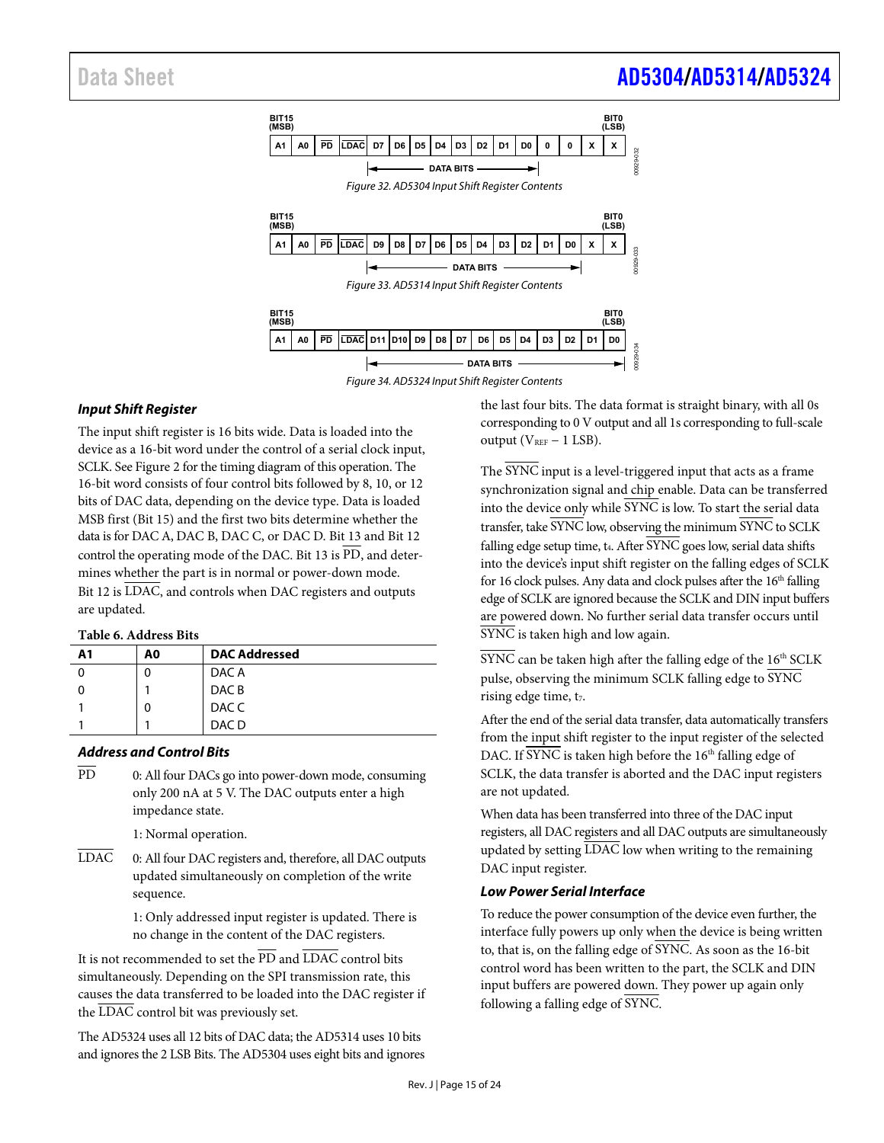

#### **Input Shift Register**

The input shift register is 16 bits wide. Data is loaded into the device as a 16-bit word under the control of a serial clock input, SCLK. Se[e Figure 2 f](#page-4-1)or the timing diagram of this operation. The 16-bit word consists of four control bits followed by 8, 10, or 12 bits of DAC data, depending on the device type. Data is loaded MSB first (Bit 15) and the first two bits determine whether the data is for DAC A, DAC B, DAC C, or DAC D. Bit 13 and Bit 12 control the operating mode of the DAC. Bit 13 is  $\overline{PD}$ , and determines whether the part is in normal or power-down mode. Bit 12 is LDAC, and controls when DAC registers and outputs are updated.

#### **Table 6. Address Bits**

| A1 | A0 | <b>DAC Addressed</b> |  |  |  |
|----|----|----------------------|--|--|--|
|    |    | DAC A                |  |  |  |
|    |    | DAC <sub>B</sub>     |  |  |  |
|    | 0  | DAC C                |  |  |  |
|    |    | DAC <sub>D</sub>     |  |  |  |
|    |    |                      |  |  |  |

#### **Address and Control Bits**

- PD 0: All four DACs go into power-down mode, consuming only 200 nA at 5 V. The DAC outputs enter a high impedance state.
	- 1: Normal operation.
- LDAC 0: All four DAC registers and, therefore, all DAC outputs updated simultaneously on completion of the write sequence.

1: Only addressed input register is updated. There is no change in the content of the DAC registers.

It is not recommended to set the  $\overline{PD}$  and  $\overline{LDAC}$  control bits simultaneously. Depending on the SPI transmission rate, this causes the data transferred to be loaded into the DAC register if the LDAC control bit was previously set.

The AD5324 uses all 12 bits of DAC data; the AD5314 uses 10 bits and ignores the 2 LSB Bits. The AD5304 uses eight bits and ignores the last four bits. The data format is straight binary, with all 0s corresponding to 0 V output and all 1s corresponding to full-scale output ( $V_{REF}$  – 1 LSB).

The SYNC input is a level-triggered input that acts as a frame synchronization signal and chip enable. Data can be transferred into the device only while SYNC is low. To start the serial data transfer, take SYNC low, observing the minimum SYNC to SCLK falling edge setup time,  $t_4$ . After  $\overline{\text{SYNC}}$  goes low, serial data shifts into the device's input shift register on the falling edges of SCLK for 16 clock pulses. Any data and clock pulses after the  $16<sup>th</sup>$  falling edge of SCLK are ignored because the SCLK and DIN input buffers are powered down. No further serial data transfer occurs until SYNC is taken high and low again.

 $\overline{\text{SYNC}}$  can be taken high after the falling edge of the  $16^{\text{th}}$  SCLK pulse, observing the minimum SCLK falling edge to SYNC rising edge time, t7.

After the end of the serial data transfer, data automatically transfers from the input shift register to the input register of the selected DAC. If SYNC is taken high before the 16<sup>th</sup> falling edge of SCLK, the data transfer is aborted and the DAC input registers are not updated.

When data has been transferred into three of the DAC input registers, all DAC registers and all DAC outputs are simultaneously updated by setting LDAC low when writing to the remaining DAC input register.

#### **Low Power Serial Interface**

To reduce the power consumption of the device even further, the interface fully powers up only when the device is being written to, that is, on the falling edge of SYNC. As soon as the 16-bit control word has been written to the part, the SCLK and DIN input buffers are powered down. They power up again only following a falling edge of SYNC.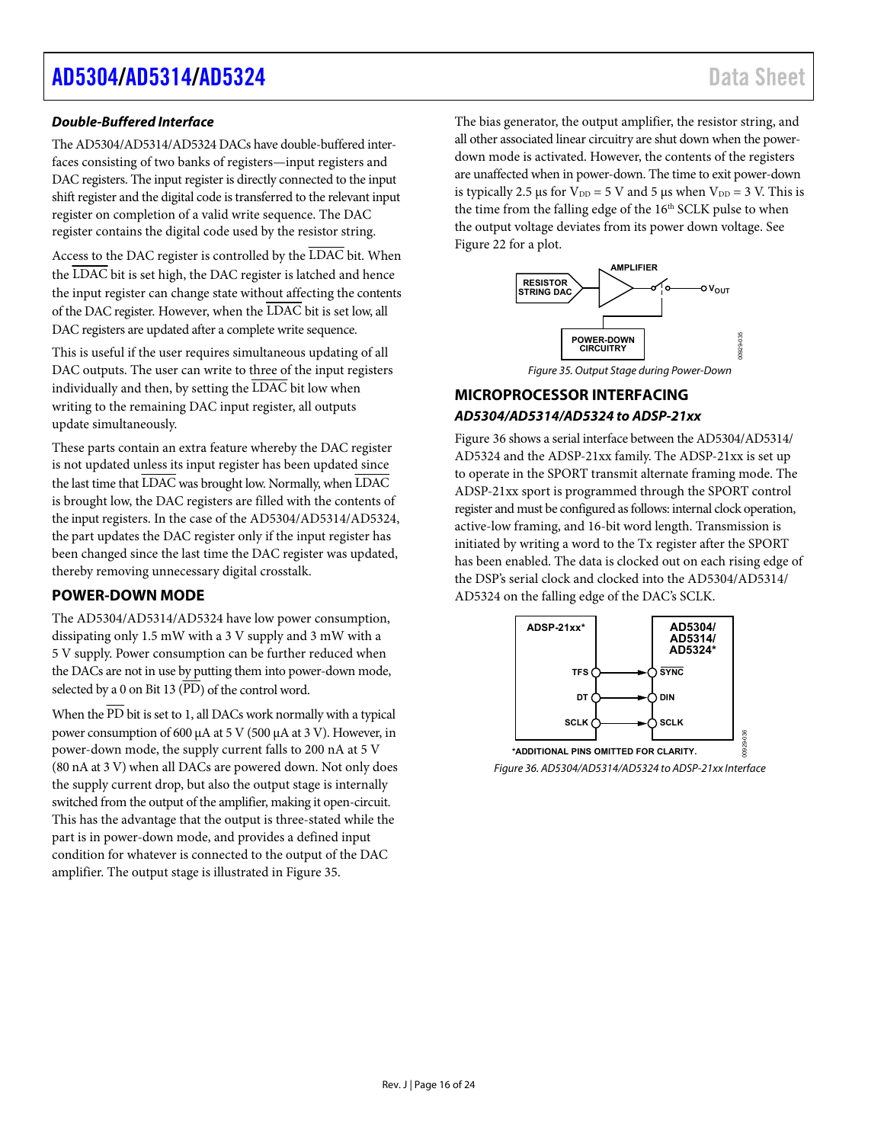### **[AD5304](https://www.analog.com/AD5304?doc=AD5304-5314-5324.pdf)[/AD5314](https://www.analog.com/AD5314?doc=AD5304-5314-5324.pdf)[/AD5324](https://www.analog.com/AD5324?doc=AD5304-5314-5324.pdf)** Data Sheet

#### **Double-Buffered Interface**

The AD5304/AD5314/AD5324 DACs have double-buffered interfaces consisting of two banks of registers—input registers and DAC registers. The input register is directly connected to the input shift register and the digital code is transferred to the relevant input register on completion of a valid write sequence. The DAC register contains the digital code used by the resistor string.

Access to the DAC register is controlled by the LDAC bit. When the LDAC bit is set high, the DAC register is latched and hence the input register can change state without affecting the contents of the DAC register. However, when the LDAC bit is set low, all DAC registers are updated after a complete write sequence.

This is useful if the user requires simultaneous updating of all DAC outputs. The user can write to three of the input registers individually and then, by setting the  $\overline{\text{LDAC}}$  bit low when writing to the remaining DAC input register, all outputs update simultaneously.

These parts contain an extra feature whereby the DAC register is not updated unless its input register has been updated since the last time that LDAC was brought low. Normally, when LDAC is brought low, the DAC registers are filled with the contents of the input registers. In the case of the AD5304/AD5314/AD5324, the part updates the DAC register only if the input register has been changed since the last time the DAC register was updated, thereby removing unnecessary digital crosstalk.

### <span id="page-15-0"></span>**POWER-DOWN MODE**

The AD5304/AD5314/AD5324 have low power consumption, dissipating only 1.5 mW with a 3 V supply and 3 mW with a 5 V supply. Power consumption can be further reduced when the DACs are not in use by putting them into power-down mode, selected by a 0 on Bit 13 ( $\overline{PD}$ ) of the control word.

When the  $\overline{\text{PD}}$  bit is set to 1, all DACs work normally with a typical power consumption of 600 μA at 5 V (500 μA at 3 V). However, in power-down mode, the supply current falls to 200 nA at 5 V (80 nA at 3 V) when all DACs are powered down. Not only does the supply current drop, but also the output stage is internally switched from the output of the amplifier, making it open-circuit. This has the advantage that the output is three-stated while the part is in power-down mode, and provides a defined input condition for whatever is connected to the output of the DAC amplifier. The output stage is illustrated i[n Figure 35.](#page-15-2) 

The bias generator, the output amplifier, the resistor string, and all other associated linear circuitry are shut down when the powerdown mode is activated. However, the contents of the registers are unaffected when in power-down. The time to exit power-down is typically 2.5 μs for  $V_{DD} = 5$  V and 5 μs when  $V_{DD} = 3$  V. This is the time from the falling edge of the  $16<sup>th</sup>$  SCLK pulse to when the output voltage deviates from its power down voltage. See [Figure 22 f](#page-9-0)or a plot.



Figure 35. Output Stage during Power-Down

### <span id="page-15-2"></span><span id="page-15-1"></span>**MICROPROCESSOR INTERFACING AD5304/AD5314/AD5324 to ADSP-21xx**

[Figure 36 s](#page-15-3)hows a serial interface between the AD5304/AD5314/ AD5324 and the ADSP-21xx family. The ADSP-21xx is set up to operate in the SPORT transmit alternate framing mode. The ADSP-21xx sport is programmed through the SPORT control register and must be configured as follows: internal clock operation, active-low framing, and 16-bit word length. Transmission is initiated by writing a word to the Tx register after the SPORT has been enabled. The data is clocked out on each rising edge of the DSP's serial clock and clocked into the AD5304/AD5314/ AD5324 on the falling edge of the DAC's SCLK.

<span id="page-15-3"></span>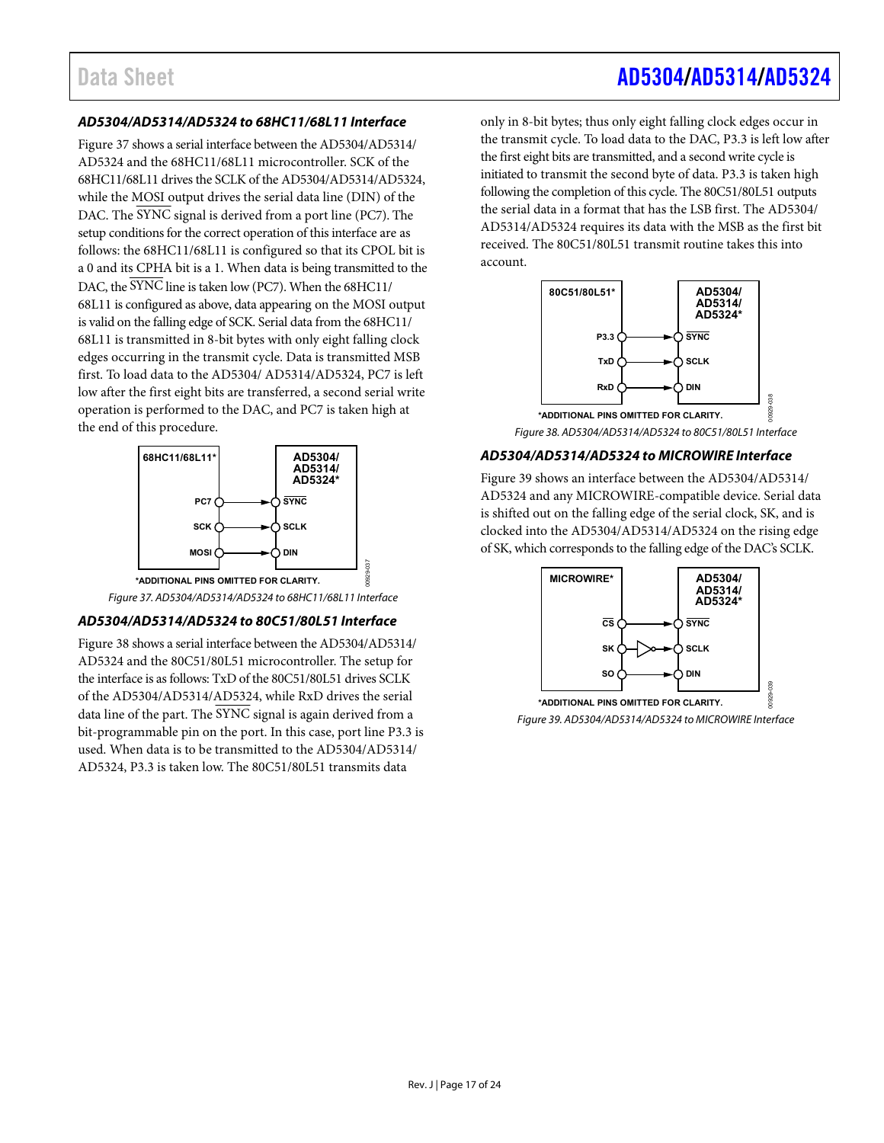#### **AD5304/AD5314/AD5324 to 68HC11/68L11 Interface**

[Figure 37 s](#page-16-0)hows a serial interface between the AD5304/AD5314/ AD5324 and the 68HC11/68L11 microcontroller. SCK of the 68HC11/68L11 drives the SCLK of the AD5304/AD5314/AD5324, while the MOSI output drives the serial data line (DIN) of the DAC. The SYNC signal is derived from a port line (PC7). The setup conditions for the correct operation of this interface are as follows: the 68HC11/68L11 is configured so that its CPOL bit is a 0 and its CPHA bit is a 1. When data is being transmitted to the DAC, the SYNC line is taken low (PC7). When the 68HC11/ 68L11 is configured as above, data appearing on the MOSI output is valid on the falling edge of SCK. Serial data from the 68HC11/ 68L11 is transmitted in 8-bit bytes with only eight falling clock edges occurring in the transmit cycle. Data is transmitted MSB first. To load data to the AD5304/ AD5314/AD5324, PC7 is left low after the first eight bits are transferred, a second serial write operation is performed to the DAC, and PC7 is taken high at the end of this procedure.



#### Figure 37. AD5304/AD5314/AD5324 to 68HC11/68L11 Interface

#### <span id="page-16-0"></span>**AD5304/AD5314/AD5324 to 80C51/80L51 Interface**

[Figure 38 s](#page-16-1)hows a serial interface between the AD5304/AD5314/ AD5324 and the 80C51/80L51 microcontroller. The setup for the interface is as follows: TxD of the 80C51/80L51 drives SCLK of the AD5304/AD5314/AD5324, while RxD drives the serial data line of the part. The  $\overline{\text{SYNC}}$  signal is again derived from a bit-programmable pin on the port. In this case, port line P3.3 is used. When data is to be transmitted to the AD5304/AD5314/ AD5324, P3.3 is taken low. The 80C51/80L51 transmits data

only in 8-bit bytes; thus only eight falling clock edges occur in the transmit cycle. To load data to the DAC, P3.3 is left low after the first eight bits are transmitted, and a second write cycle is initiated to transmit the second byte of data. P3.3 is taken high following the completion of this cycle. The 80C51/80L51 outputs the serial data in a format that has the LSB first. The AD5304/ AD5314/AD5324 requires its data with the MSB as the first bit received. The 80C51/80L51 transmit routine takes this into account.



#### <span id="page-16-1"></span>**AD5304/AD5314/AD5324 to MICROWIRE Interface**

[Figure 39 s](#page-16-2)hows an interface between the AD5304/AD5314/ AD5324 and any MICROWIRE-compatible device. Serial data is shifted out on the falling edge of the serial clock, SK, and is clocked into the AD5304/AD5314/AD5324 on the rising edge of SK, which corresponds to the falling edge of the DAC's SCLK.



<span id="page-16-2"></span>Figure 39. AD5304/AD5314/AD5324 to MICROWIRE Interface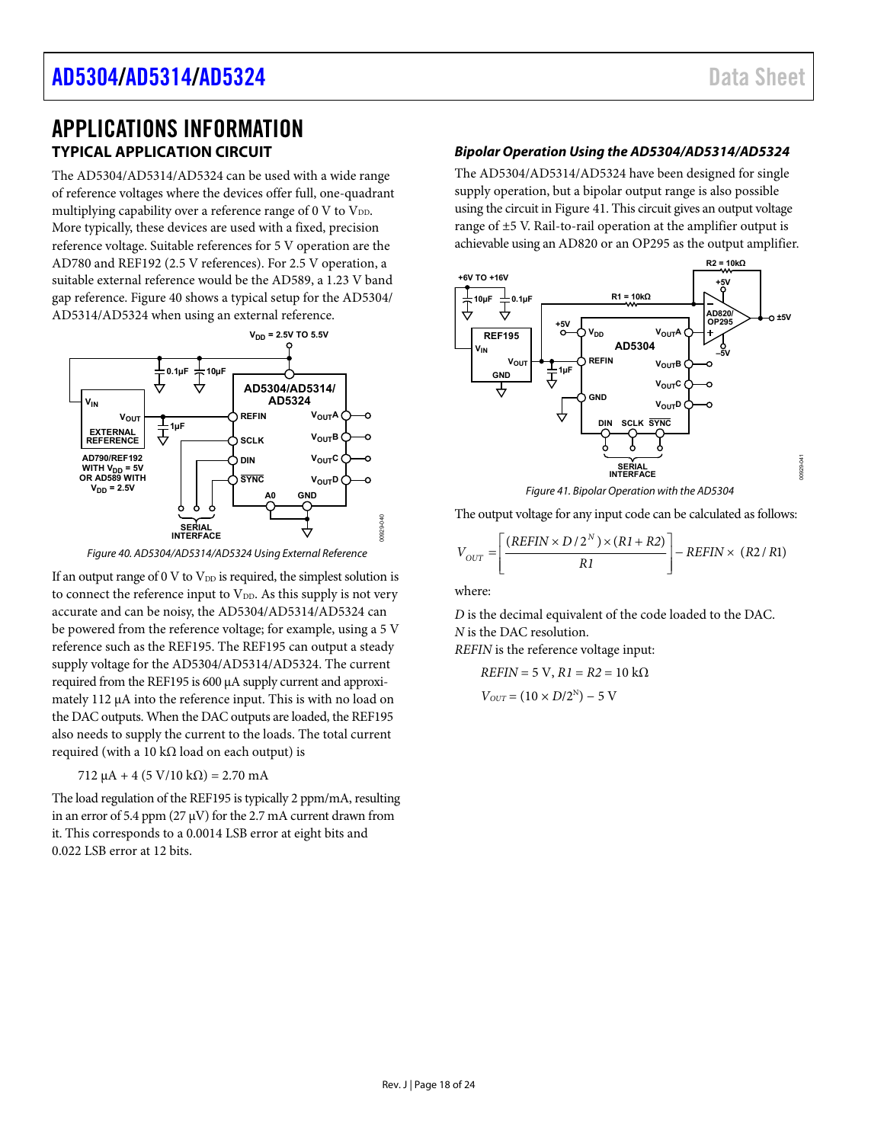### <span id="page-17-1"></span><span id="page-17-0"></span>APPLICATIONS INFORMATION **TYPICAL APPLICATION CIRCUIT**

The AD5304/AD5314/AD5324 can be used with a wide range of reference voltages where the devices offer full, one-quadrant multiplying capability over a reference range of 0 V to  $V_{DD}$ . More typically, these devices are used with a fixed, precision reference voltage. Suitable references for 5 V operation are the AD780 and REF192 (2.5 V references). For 2.5 V operation, a suitable external reference would be the AD589, a 1.23 V band gap reference[. Figure 40 s](#page-17-2)hows a typical setup for the AD5304/ AD5314/AD5324 when using an external reference.



Figure 40. AD5304/AD5314/AD5324 Using External Reference

<span id="page-17-2"></span>If an output range of 0 V to  $V_{DD}$  is required, the simplest solution is to connect the reference input to  $V_{DD}$ . As this supply is not very accurate and can be noisy, the AD5304/AD5314/AD5324 can be powered from the reference voltage; for example, using a 5 V reference such as the REF195. The REF195 can output a steady supply voltage for the AD5304/AD5314/AD5324. The current required from the REF195 is 600 μA supply current and approximately 112 μA into the reference input. This is with no load on the DAC outputs. When the DAC outputs are loaded, the REF195 also needs to supply the current to the loads. The total current required (with a 10 kΩ load on each output) is

 $712 \mu A + 4 (5 V/10 k\Omega) = 2.70 mA$ 

The load regulation of the REF195 is typically 2 ppm/mA, resulting in an error of 5.4 ppm ( $27 \mu$ V) for the 2.7 mA current drawn from it. This corresponds to a 0.0014 LSB error at eight bits and 0.022 LSB error at 12 bits.

#### **Bipolar Operation Using the AD5304/AD5314/AD5324**

The AD5304/AD5314/AD5324 have been designed for single supply operation, but a bipolar output range is also possible using the circuit i[n Figure 41.](#page-17-3) This circuit gives an output voltage range of ±5 V. Rail-to-rail operation at the amplifier output is achievable using an AD820 or an OP295 as the output amplifier.



Figure 41. Bipolar Operation with the AD5304

<span id="page-17-3"></span>The output voltage for any input code can be calculated as follows:

$$
V_{OUT} = \left[ \frac{(REFIN \times D/2^N) \times (RI + R2)}{RI} \right] - REFIN \times (R2/R1)
$$

where:

00929-040

*D* is the decimal equivalent of the code loaded to the DAC. *N* is the DAC resolution. *REFIN* is the reference voltage input:

*REFIN* = 5 V,  $R1 = R2 = 10$  kΩ  $V_{OUT} = (10 \times D/2^N) - 5$  V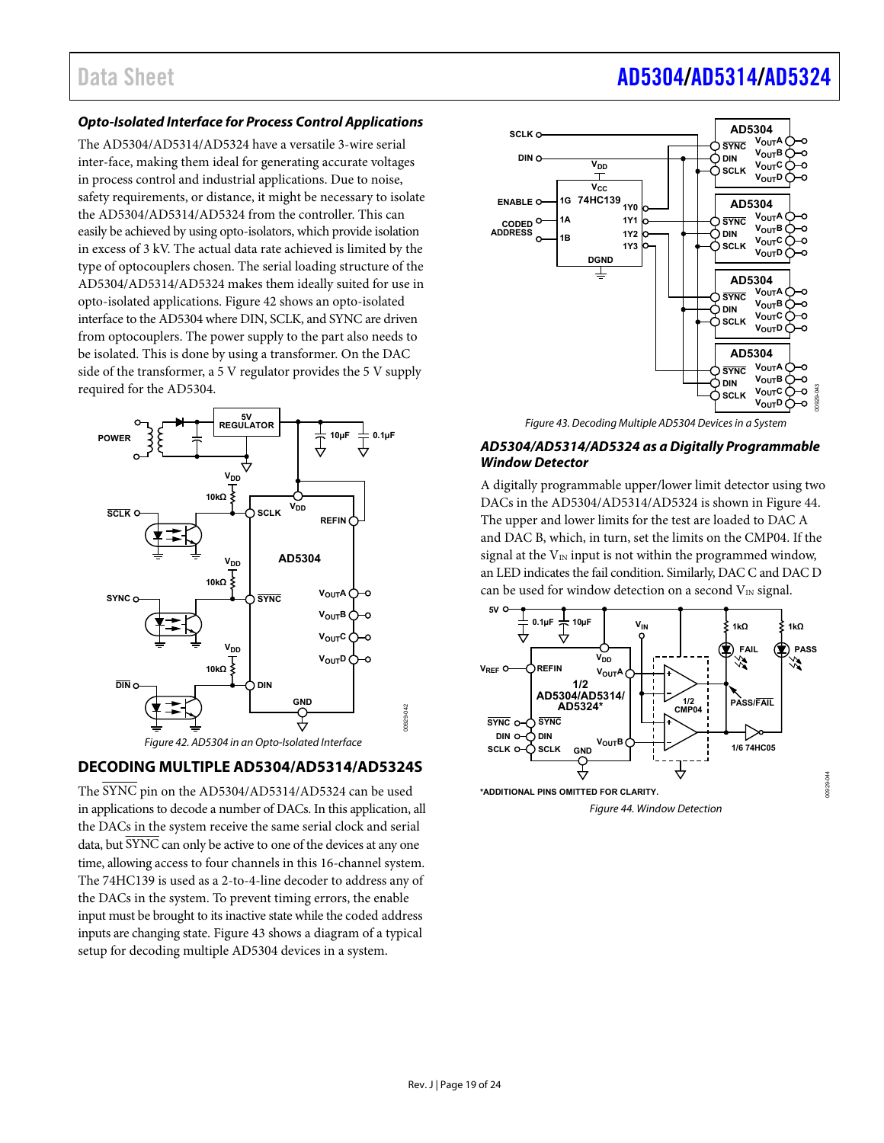#### **Opto-Isolated Interface for Process Control Applications**

The AD5304/AD5314/AD5324 have a versatile 3-wire serial inter-face, making them ideal for generating accurate voltages in process control and industrial applications. Due to noise, safety requirements, or distance, it might be necessary to isolate the AD5304/AD5314/AD5324 from the controller. This can easily be achieved by using opto-isolators, which provide isolation in excess of 3 kV. The actual data rate achieved is limited by the type of optocouplers chosen. The serial loading structure of the AD5304/AD5314/AD5324 makes them ideally suited for use in opto-isolated applications. [Figure 42 s](#page-18-1)hows an opto-isolated interface to the AD5304 where DIN, SCLK, and SYNC are driven from optocouplers. The power supply to the part also needs to be isolated. This is done by using a transformer. On the DAC side of the transformer, a 5 V regulator provides the 5 V supply required for the AD5304.





#### <span id="page-18-1"></span><span id="page-18-0"></span>**DECODING MULTIPLE AD5304/AD5314/AD5324S**

The SYNC pin on the AD5304/AD5314/AD5324 can be used in applications to decode a number of DACs. In this application, all the DACs in the system receive the same serial clock and serial data, but SYNC can only be active to one of the devices at any one time, allowing access to four channels in this 16-channel system. The 74HC139 is used as a 2-to-4-line decoder to address any of the DACs in the system. To prevent timing errors, the enable input must be brought to its inactive state while the coded address inputs are changing state. [Figure 43 s](#page-18-2)hows a diagram of a typical setup for decoding multiple AD5304 devices in a system.



Figure 43. Decoding Multiple AD5304 Devices in a System

#### <span id="page-18-2"></span>**AD5304/AD5314/AD5324 as a Digitally Programmable Window Detector**

A digitally programmable upper/lower limit detector using two DACs in the AD5304/AD5314/AD5324 is shown in [Figure 44.](#page-18-3)  The upper and lower limits for the test are loaded to DAC A and DAC B, which, in turn, set the limits on the CMP04. If the signal at the  $V_{IN}$  input is not within the programmed window, an LED indicates the fail condition. Similarly, DAC C and DAC D can be used for window detection on a second  $V_{IN}$  signal.



<span id="page-18-3"></span>Figure 44. Window Detection

0929-044 00929-044

## Data Sheet **[AD5304/](https://www.analog.com/AD5304?doc=AD5304-5314-5324.pdf)[AD5314](https://www.analog.com/AD5314?doc=AD5304-5314-5324.pdf)[/AD5324](https://www.analog.com/AD5324?doc=AD5304-5314-5324.pdf)**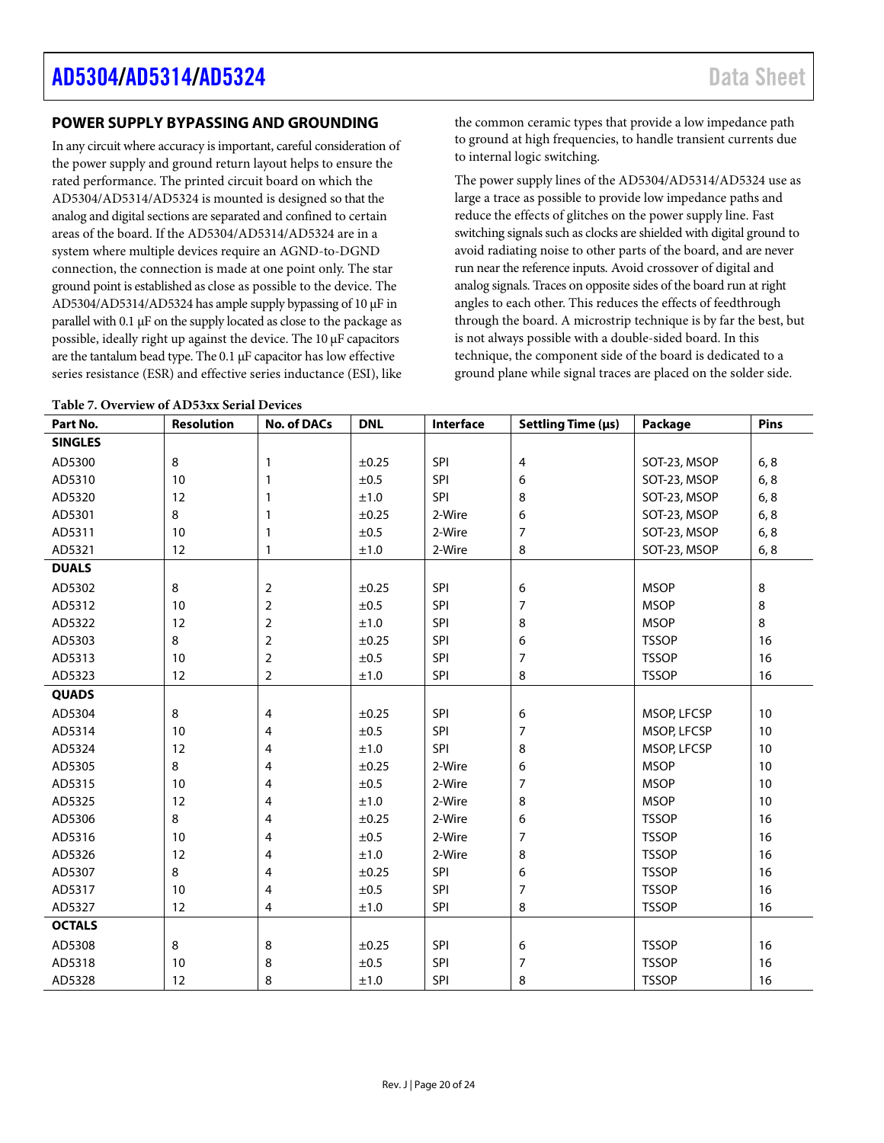#### <span id="page-19-0"></span>**POWER SUPPLY BYPASSING AND GROUNDING**

In any circuit where accuracy is important, careful consideration of the power supply and ground return layout helps to ensure the rated performance. The printed circuit board on which the AD5304/AD5314/AD5324 is mounted is designed so that the analog and digital sections are separated and confined to certain areas of the board. If the AD5304/AD5314/AD5324 are in a system where multiple devices require an AGND-to-DGND connection, the connection is made at one point only. The star ground point is established as close as possible to the device. The AD5304/AD5314/AD5324 has ample supply bypassing of 10 μF in parallel with 0.1 μF on the supply located as close to the package as possible, ideally right up against the device. The 10 μF capacitors are the tantalum bead type. The 0.1 μF capacitor has low effective series resistance (ESR) and effective series inductance (ESI), like

**Table 7. Overview of AD53xx Serial Devices**

the common ceramic types that provide a low impedance path to ground at high frequencies, to handle transient currents due to internal logic switching.

The power supply lines of the AD5304/AD5314/AD5324 use as large a trace as possible to provide low impedance paths and reduce the effects of glitches on the power supply line. Fast switching signals such as clocks are shielded with digital ground to avoid radiating noise to other parts of the board, and are never run near the reference inputs. Avoid crossover of digital and analog signals. Traces on opposite sides of the board run at right angles to each other. This reduces the effects of feedthrough through the board. A microstrip technique is by far the best, but is not always possible with a double-sided board. In this technique, the component side of the board is dedicated to a ground plane while signal traces are placed on the solder side.

| Part No.       | Resolution | <b>No. of DACs</b> | <b>DNL</b> | Interface  | Settling Time (µs)       | Package      | Pins   |
|----------------|------------|--------------------|------------|------------|--------------------------|--------------|--------|
| <b>SINGLES</b> |            |                    |            |            |                          |              |        |
| AD5300         | 8          | 1                  | ±0.25      | SPI        | 4                        | SOT-23, MSOP | 6, 8   |
| AD5310         | 10         | 1                  | ±0.5       | <b>SPI</b> | 6                        | SOT-23, MSOP | 6, 8   |
| AD5320         | 12         | 1                  | ±1.0       | SPI        | 8                        | SOT-23, MSOP | 6, 8   |
| AD5301         | 8          | 1                  | ±0.25      | 2-Wire     | 6                        | SOT-23, MSOP | 6, 8   |
| AD5311         | 10         | 1                  | ±0.5       | 2-Wire     | 7                        | SOT-23, MSOP | 6, 8   |
| AD5321         | 12         | $\mathbf{1}$       | ±1.0       | 2-Wire     | 8                        | SOT-23, MSOP | 6, 8   |
| <b>DUALS</b>   |            |                    |            |            |                          |              |        |
| AD5302         | 8          | $\overline{2}$     | ±0.25      | SPI        | 6                        | <b>MSOP</b>  | 8      |
| AD5312         | 10         | $\overline{2}$     | ±0.5       | SPI        | 7                        | <b>MSOP</b>  | 8      |
| AD5322         | 12         | 2                  | ±1.0       | SPI        | 8                        | <b>MSOP</b>  | 8      |
| AD5303         | 8          | $\overline{2}$     | ±0.25      | SPI        | 6                        | <b>TSSOP</b> | 16     |
| AD5313         | 10         | $\overline{2}$     | ±0.5       | SPI        | $\overline{\mathcal{I}}$ | <b>TSSOP</b> | 16     |
| AD5323         | 12         | 2                  | ±1.0       | SPI        | 8                        | <b>TSSOP</b> | 16     |
| <b>QUADS</b>   |            |                    |            |            |                          |              |        |
| AD5304         | 8          | 4                  | $\pm 0.25$ | SPI        | 6                        | MSOP, LFCSP  | 10     |
| AD5314         | 10         | 4                  | ±0.5       | SPI        | 7                        | MSOP, LFCSP  | $10\,$ |
| AD5324         | 12         | 4                  | ±1.0       | SPI        | 8                        | MSOP, LFCSP  | 10     |
| AD5305         | 8          | 4                  | ±0.25      | 2-Wire     | 6                        | <b>MSOP</b>  | $10\,$ |
| AD5315         | 10         | 4                  | ±0.5       | 2-Wire     | $\boldsymbol{7}$         | <b>MSOP</b>  | 10     |
| AD5325         | 12         | 4                  | ±1.0       | 2-Wire     | 8                        | <b>MSOP</b>  | 10     |
| AD5306         | 8          | 4                  | ±0.25      | 2-Wire     | 6                        | <b>TSSOP</b> | 16     |
| AD5316         | 10         | 4                  | ±0.5       | 2-Wire     | 7                        | <b>TSSOP</b> | 16     |
| AD5326         | 12         | 4                  | ±1.0       | 2-Wire     | 8                        | <b>TSSOP</b> | 16     |
| AD5307         | 8          | 4                  | ±0.25      | SPI        | 6                        | <b>TSSOP</b> | 16     |
| AD5317         | 10         | 4                  | ±0.5       | SPI        | 7                        | <b>TSSOP</b> | 16     |
| AD5327         | 12         | 4                  | ±1.0       | SPI        | 8                        | <b>TSSOP</b> | 16     |
| <b>OCTALS</b>  |            |                    |            |            |                          |              |        |
| AD5308         | 8          | 8                  | ±0.25      | SPI        | 6                        | <b>TSSOP</b> | 16     |
| AD5318         | 10         | 8                  | ±0.5       | <b>SPI</b> | 7                        | <b>TSSOP</b> | 16     |
| AD5328         | 12         | 8                  | $\pm 1.0$  | <b>SPI</b> | 8                        | <b>TSSOP</b> | 16     |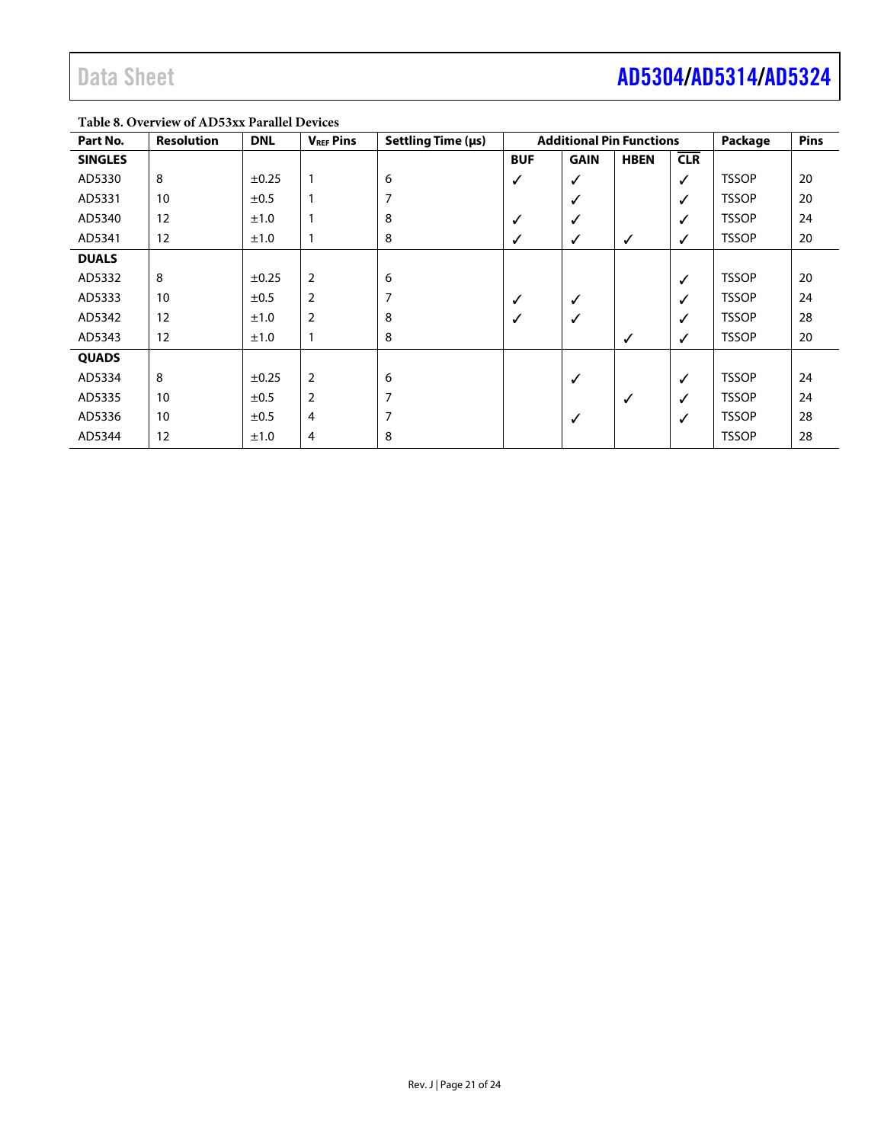#### **Table 8. Overview of AD53xx Parallel Devices**

| Part No.       | <b>Resolution</b> | <b>DNL</b> | <b>V<sub>REF</sub></b> Pins | Settling Time (µs) | <b>Additional Pin Functions</b> |              | Package     | <b>Pins</b>  |              |    |
|----------------|-------------------|------------|-----------------------------|--------------------|---------------------------------|--------------|-------------|--------------|--------------|----|
| <b>SINGLES</b> |                   |            |                             |                    | <b>BUF</b>                      | <b>GAIN</b>  | <b>HBEN</b> | CLR          |              |    |
| AD5330         | 8                 | $\pm 0.25$ | 1                           | 6                  | ✓                               | ✓            |             | ✓            | <b>TSSOP</b> | 20 |
| AD5331         | 10                | ±0.5       |                             |                    |                                 | $\checkmark$ |             | $\checkmark$ | <b>TSSOP</b> | 20 |
| AD5340         | 12                | ±1.0       | 1                           | 8                  | ✓                               | $\checkmark$ |             | $\checkmark$ | <b>TSSOP</b> | 24 |
| AD5341         | 12                | ±1.0       |                             | 8                  | ✓                               | ✓            | ✓           | ✓            | <b>TSSOP</b> | 20 |
| <b>DUALS</b>   |                   |            |                             |                    |                                 |              |             |              |              |    |
| AD5332         | 8                 | $\pm 0.25$ | 2                           | 6                  |                                 |              |             | $\checkmark$ | <b>TSSOP</b> | 20 |
| AD5333         | 10                | ±0.5       | $\overline{2}$              | 7                  | $\checkmark$                    | ✓            |             | $\checkmark$ | <b>TSSOP</b> | 24 |
| AD5342         | 12                | ±1.0       | 2                           | 8                  | ✓                               | $\checkmark$ |             | ✓            | <b>TSSOP</b> | 28 |
| AD5343         | 12                | ±1.0       |                             | 8                  |                                 |              | ✓           | ✓            | <b>TSSOP</b> | 20 |
| <b>QUADS</b>   |                   |            |                             |                    |                                 |              |             |              |              |    |
| AD5334         | 8                 | $\pm 0.25$ | $\overline{2}$              | 6                  |                                 | ✓            |             | $\checkmark$ | <b>TSSOP</b> | 24 |
| AD5335         | 10                | ±0.5       | 2                           |                    |                                 |              | ✓           | $\checkmark$ | <b>TSSOP</b> | 24 |
| AD5336         | 10                | ±0.5       | 4                           | 7                  |                                 | ✓            |             | ✓            | <b>TSSOP</b> | 28 |
| AD5344         | 12                | ±1.0       | 4                           | 8                  |                                 |              |             |              | <b>TSSOP</b> | 28 |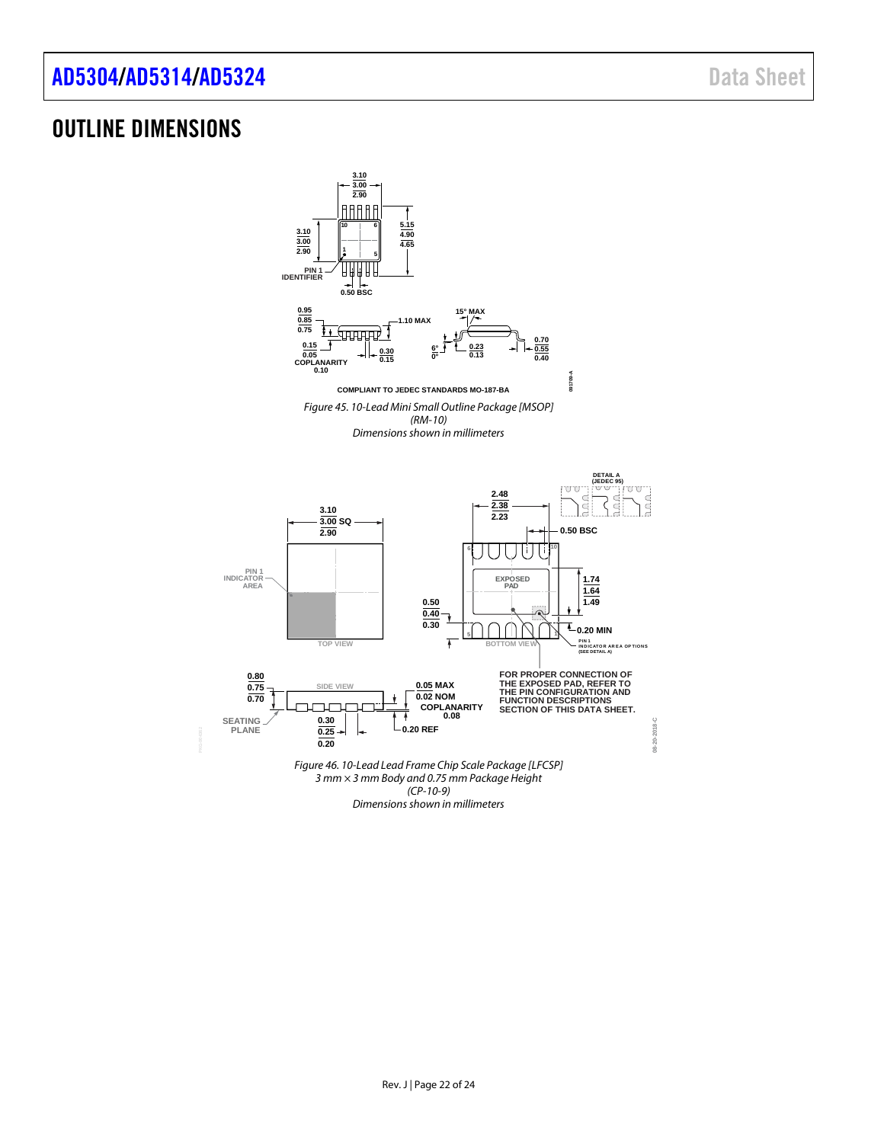### <span id="page-21-0"></span>OUTLINE DIMENSIONS



*Dimensions shown in millimeters*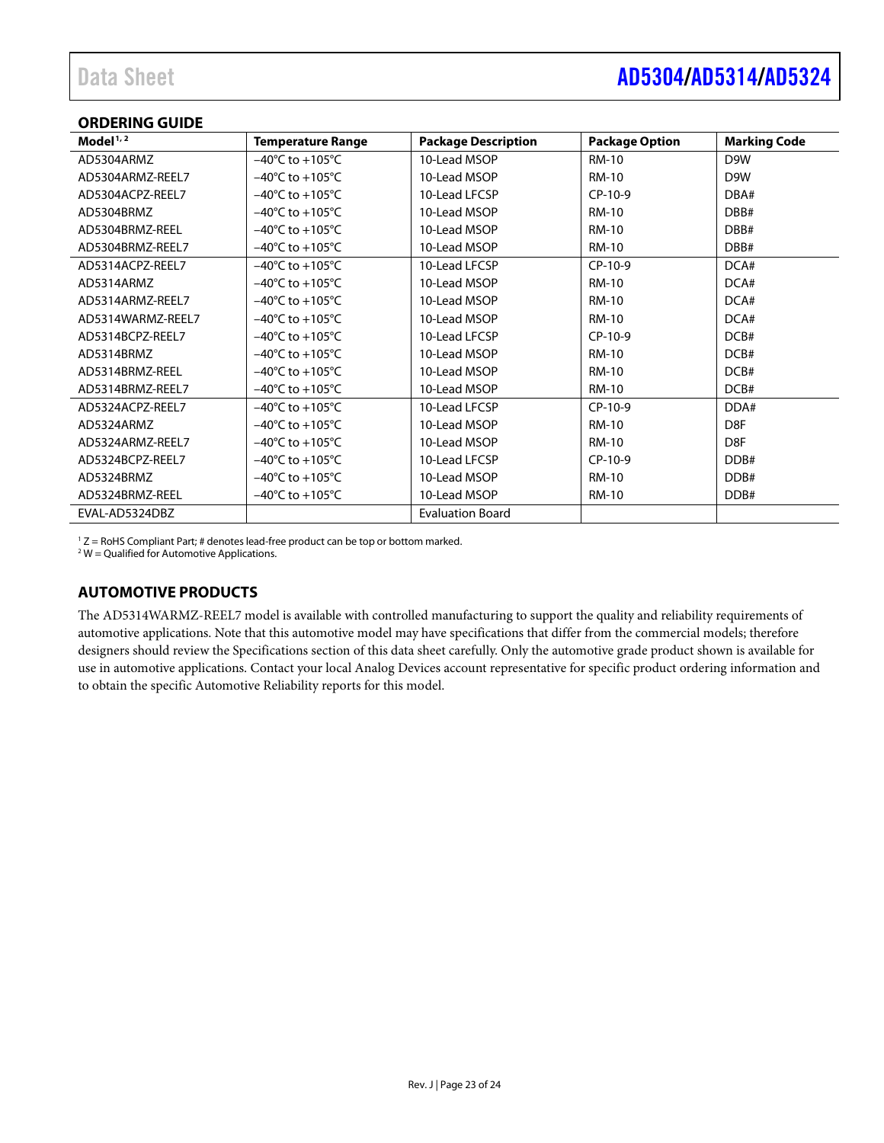#### <span id="page-22-0"></span>**ORDERING GUIDE**

| Model $1, 2$      | <b>Temperature Range</b>            | <b>Package Description</b> | <b>Package Option</b> | <b>Marking Code</b> |
|-------------------|-------------------------------------|----------------------------|-----------------------|---------------------|
| AD5304ARMZ        | $-40^{\circ}$ C to $+105^{\circ}$ C | 10-Lead MSOP               | <b>RM-10</b>          | D9W                 |
| AD5304ARMZ-REEL7  | $-40^{\circ}$ C to $+105^{\circ}$ C | 10-Lead MSOP               | <b>RM-10</b>          | D <sub>9</sub> W    |
| AD5304ACPZ-REEL7  | $-40^{\circ}$ C to $+105^{\circ}$ C | 10-Lead LFCSP              | $CP-10-9$             | DBA#                |
| AD5304BRMZ        | $-40^{\circ}$ C to $+105^{\circ}$ C | 10-Lead MSOP               | <b>RM-10</b>          | DBB#                |
| AD5304BRMZ-REEL   | $-40^{\circ}$ C to $+105^{\circ}$ C | 10-Lead MSOP               | <b>RM-10</b>          | DBB#                |
| AD5304BRMZ-REEL7  | $-40^{\circ}$ C to $+105^{\circ}$ C | 10-Lead MSOP               | <b>RM-10</b>          | DBB#                |
| AD5314ACPZ-REEL7  | $-40^{\circ}$ C to $+105^{\circ}$ C | 10-Lead LFCSP              | CP-10-9               | DCA#                |
| AD5314ARMZ        | $-40^{\circ}$ C to $+105^{\circ}$ C | 10-Lead MSOP               | <b>RM-10</b>          | DCA#                |
| AD5314ARMZ-REEL7  | $-40^{\circ}$ C to $+105^{\circ}$ C | 10-Lead MSOP               | <b>RM-10</b>          | DCA#                |
| AD5314WARMZ-REEL7 | $-40^{\circ}$ C to $+105^{\circ}$ C | 10-Lead MSOP               | <b>RM-10</b>          | DCA#                |
| AD5314BCPZ-REEL7  | $-40^{\circ}$ C to $+105^{\circ}$ C | 10-Lead LFCSP              | $CP-10-9$             | DCB#                |
| AD5314BRMZ        | $-40^{\circ}$ C to $+105^{\circ}$ C | 10-Lead MSOP               | <b>RM-10</b>          | DCB#                |
| AD5314BRMZ-REEL   | $-40^{\circ}$ C to $+105^{\circ}$ C | 10-Lead MSOP               | <b>RM-10</b>          | DCB#                |
| AD5314BRMZ-REEL7  | $-40^{\circ}$ C to $+105^{\circ}$ C | 10-Lead MSOP               | <b>RM-10</b>          | DCB#                |
| AD5324ACPZ-REEL7  | $-40^{\circ}$ C to $+105^{\circ}$ C | 10-Lead LFCSP              | $CP-10-9$             | DDA#                |
| AD5324ARMZ        | $-40^{\circ}$ C to $+105^{\circ}$ C | 10-Lead MSOP               | <b>RM-10</b>          | D <sub>8F</sub>     |
| AD5324ARMZ-REEL7  | $-40^{\circ}$ C to $+105^{\circ}$ C | 10-Lead MSOP               | <b>RM-10</b>          | D <sub>8F</sub>     |
| AD5324BCPZ-REEL7  | $-40^{\circ}$ C to $+105^{\circ}$ C | 10-Lead LFCSP              | $CP-10-9$             | DDB#                |
| AD5324BRMZ        | $-40^{\circ}$ C to $+105^{\circ}$ C | 10-Lead MSOP               | <b>RM-10</b>          | DDB#                |
| AD5324BRMZ-REEL   | $-40^{\circ}$ C to $+105^{\circ}$ C | 10-Lead MSOP               | <b>RM-10</b>          | DDB#                |
| EVAL-AD5324DBZ    |                                     | <b>Evaluation Board</b>    |                       |                     |

 $1 Z =$  RoHS Compliant Part; # denotes lead-free product can be top or bottom marked.

 $2$  W = Qualified for Automotive Applications.

#### <span id="page-22-1"></span>**AUTOMOTIVE PRODUCTS**

The AD5314WARMZ-REEL7 model is available with controlled manufacturing to support the quality and reliability requirements of automotive applications. Note that this automotive model may have specifications that differ from the commercial models; therefore designers should review th[e Specifications](#page-2-0) section of this data sheet carefully. Only the automotive grade product shown is available for use in automotive applications. Contact your local Analog Devices account representative for specific product ordering information and to obtain the specific Automotive Reliability reports for this model.